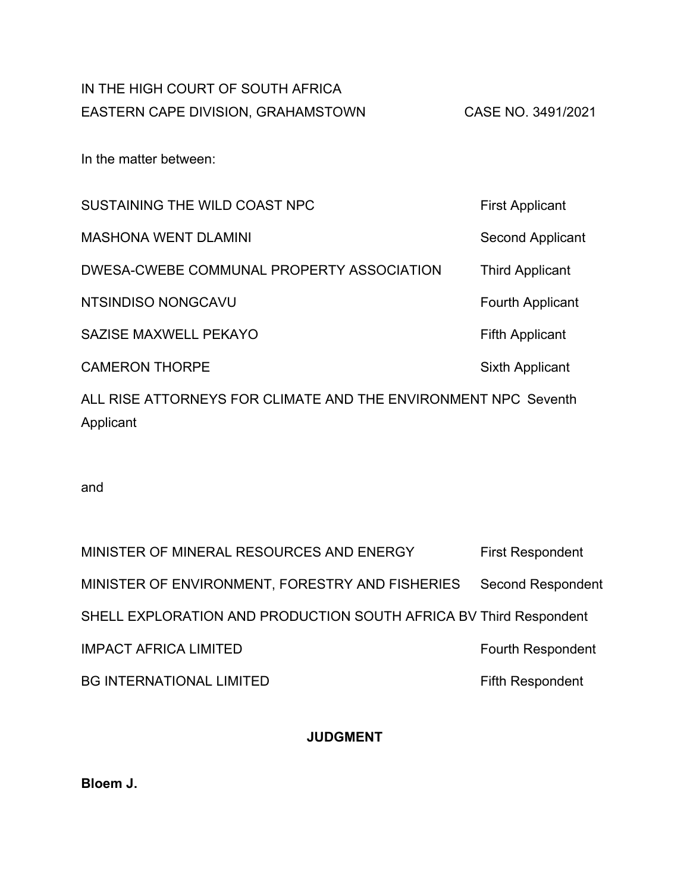# IN THE HIGH COURT OF SOUTH AFRICA EASTERN CAPE DIVISION, GRAHAMSTOWN CASE NO. 3491/2021

In the matter between:

| SUSTAINING THE WILD COAST NPC                                               | <b>First Applicant</b>  |  |  |  |  |  |
|-----------------------------------------------------------------------------|-------------------------|--|--|--|--|--|
| <b>MASHONA WENT DLAMINI</b>                                                 | Second Applicant        |  |  |  |  |  |
| DWESA-CWEBE COMMUNAL PROPERTY ASSOCIATION                                   | <b>Third Applicant</b>  |  |  |  |  |  |
| NTSINDISO NONGCAVU                                                          | <b>Fourth Applicant</b> |  |  |  |  |  |
| SAZISE MAXWELL PEKAYO                                                       | <b>Fifth Applicant</b>  |  |  |  |  |  |
| <b>CAMERON THORPE</b>                                                       | Sixth Applicant         |  |  |  |  |  |
| ALL RISE ATTORNEYS FOR CLIMATE AND THE ENVIRONMENT NPC Seventh<br>Applicant |                         |  |  |  |  |  |

and

| MINISTER OF MINERAL RESOURCES AND ENERGY                          | <b>First Respondent</b>  |
|-------------------------------------------------------------------|--------------------------|
| MINISTER OF ENVIRONMENT, FORESTRY AND FISHERIES                   | <b>Second Respondent</b> |
| SHELL EXPLORATION AND PRODUCTION SOUTH AFRICA BV Third Respondent |                          |
| <b>IMPACT AFRICA LIMITED</b>                                      | <b>Fourth Respondent</b> |
| <b>BG INTERNATIONAL LIMITED</b>                                   | <b>Fifth Respondent</b>  |

# **JUDGMENT**

**Bloem J.**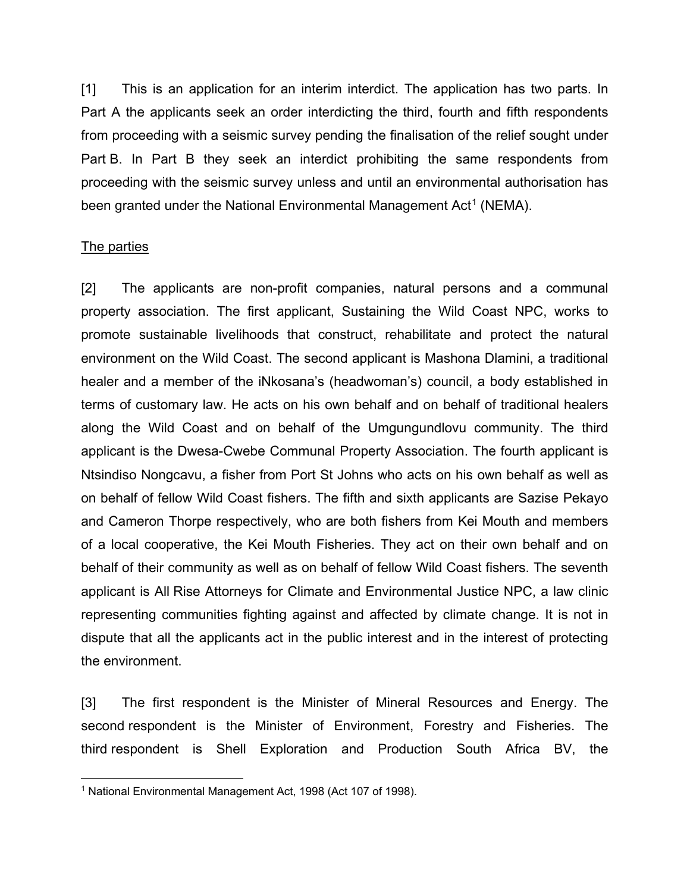[1] This is an application for an interim interdict. The application has two parts. In Part A the applicants seek an order interdicting the third, fourth and fifth respondents from proceeding with a seismic survey pending the finalisation of the relief sought under Part B. In Part B they seek an interdict prohibiting the same respondents from proceeding with the seismic survey unless and until an environmental authorisation has been granted under the National Environmental Management Act<sup>[1](#page-1-0)</sup> (NEMA).

#### The parties

[2] The applicants are non-profit companies, natural persons and a communal property association. The first applicant, Sustaining the Wild Coast NPC, works to promote sustainable livelihoods that construct, rehabilitate and protect the natural environment on the Wild Coast. The second applicant is Mashona Dlamini, a traditional healer and a member of the iNkosana's (headwoman's) council, a body established in terms of customary law. He acts on his own behalf and on behalf of traditional healers along the Wild Coast and on behalf of the Umgungundlovu community. The third applicant is the Dwesa-Cwebe Communal Property Association. The fourth applicant is Ntsindiso Nongcavu, a fisher from Port St Johns who acts on his own behalf as well as on behalf of fellow Wild Coast fishers. The fifth and sixth applicants are Sazise Pekayo and Cameron Thorpe respectively, who are both fishers from Kei Mouth and members of a local cooperative, the Kei Mouth Fisheries. They act on their own behalf and on behalf of their community as well as on behalf of fellow Wild Coast fishers. The seventh applicant is All Rise Attorneys for Climate and Environmental Justice NPC, a law clinic representing communities fighting against and affected by climate change. It is not in dispute that all the applicants act in the public interest and in the interest of protecting the environment.

[3] The first respondent is the Minister of Mineral Resources and Energy. The second respondent is the Minister of Environment, Forestry and Fisheries. The third respondent is Shell Exploration and Production South Africa BV, the

<span id="page-1-0"></span> <sup>1</sup> National Environmental Management Act, 1998 (Act 107 of 1998).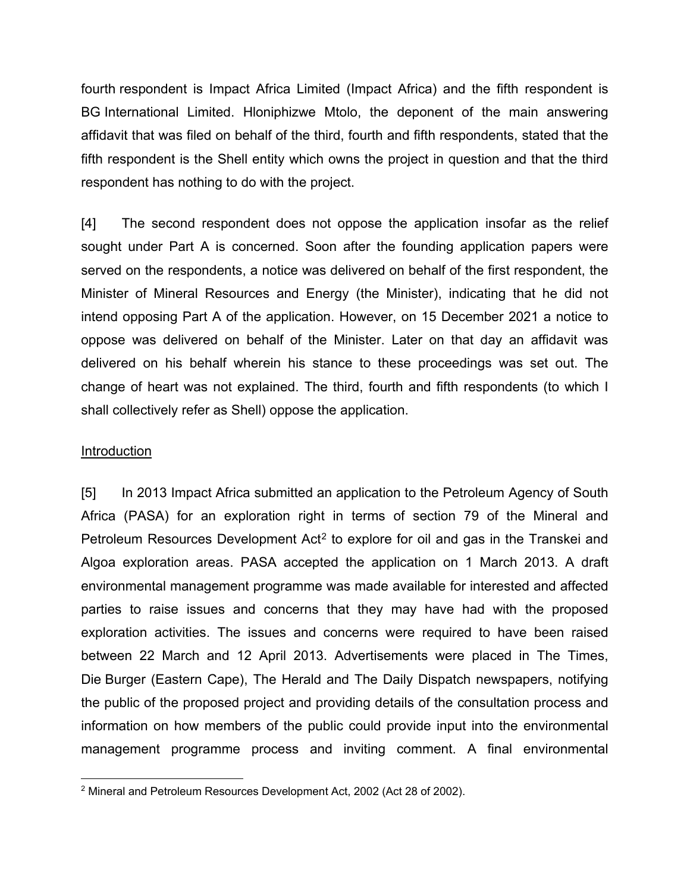fourth respondent is Impact Africa Limited (Impact Africa) and the fifth respondent is BG International Limited. Hloniphizwe Mtolo, the deponent of the main answering affidavit that was filed on behalf of the third, fourth and fifth respondents, stated that the fifth respondent is the Shell entity which owns the project in question and that the third respondent has nothing to do with the project.

[4] The second respondent does not oppose the application insofar as the relief sought under Part A is concerned. Soon after the founding application papers were served on the respondents, a notice was delivered on behalf of the first respondent, the Minister of Mineral Resources and Energy (the Minister), indicating that he did not intend opposing Part A of the application. However, on 15 December 2021 a notice to oppose was delivered on behalf of the Minister. Later on that day an affidavit was delivered on his behalf wherein his stance to these proceedings was set out. The change of heart was not explained. The third, fourth and fifth respondents (to which I shall collectively refer as Shell) oppose the application.

#### **Introduction**

[5] In 2013 Impact Africa submitted an application to the Petroleum Agency of South Africa (PASA) for an exploration right in terms of section 79 of the Mineral and Petroleum Resources Development Act<sup>[2](#page-2-0)</sup> to explore for oil and gas in the Transkei and Algoa exploration areas. PASA accepted the application on 1 March 2013. A draft environmental management programme was made available for interested and affected parties to raise issues and concerns that they may have had with the proposed exploration activities. The issues and concerns were required to have been raised between 22 March and 12 April 2013. Advertisements were placed in The Times, Die Burger (Eastern Cape), The Herald and The Daily Dispatch newspapers, notifying the public of the proposed project and providing details of the consultation process and information on how members of the public could provide input into the environmental management programme process and inviting comment. A final environmental

<span id="page-2-0"></span> <sup>2</sup> Mineral and Petroleum Resources Development Act, 2002 (Act 28 of 2002).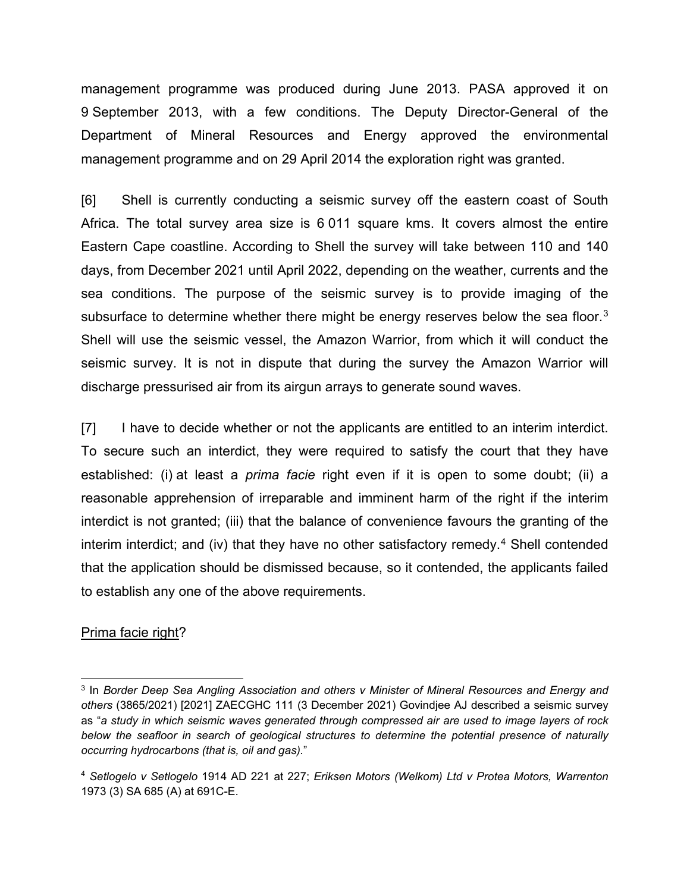management programme was produced during June 2013. PASA approved it on 9 September 2013, with a few conditions. The Deputy Director-General of the Department of Mineral Resources and Energy approved the environmental management programme and on 29 April 2014 the exploration right was granted.

[6] Shell is currently conducting a seismic survey off the eastern coast of South Africa. The total survey area size is 6 011 square kms. It covers almost the entire Eastern Cape coastline. According to Shell the survey will take between 110 and 140 days, from December 2021 until April 2022, depending on the weather, currents and the sea conditions. The purpose of the seismic survey is to provide imaging of the subsurface to determine whether there might be energy reserves below the sea floor.<sup>[3](#page-3-0)</sup> Shell will use the seismic vessel, the Amazon Warrior, from which it will conduct the seismic survey. It is not in dispute that during the survey the Amazon Warrior will discharge pressurised air from its airgun arrays to generate sound waves.

[7] I have to decide whether or not the applicants are entitled to an interim interdict. To secure such an interdict, they were required to satisfy the court that they have established: (i) at least a *prima facie* right even if it is open to some doubt; (ii) a reasonable apprehension of irreparable and imminent harm of the right if the interim interdict is not granted; (iii) that the balance of convenience favours the granting of the interim interdict; and (iv) that they have no other satisfactory remedy.<sup>[4](#page-3-1)</sup> Shell contended that the application should be dismissed because, so it contended, the applicants failed to establish any one of the above requirements.

#### Prima facie right?

<span id="page-3-0"></span> <sup>3</sup> In *Border Deep Sea Angling Association and others v Minister of Mineral Resources and Energy and others* (3865/2021) [2021] ZAECGHC 111 (3 December 2021) Govindjee AJ described a seismic survey as "*a study in which seismic waves generated through compressed air are used to image layers of rock below the seafloor in search of geological structures to determine the potential presence of naturally occurring hydrocarbons (that is, oil and gas).*"

<span id="page-3-1"></span><sup>4</sup> *Setlogelo v Setlogelo* 1914 AD 221 at 227; *Eriksen Motors (Welkom) Ltd v Protea Motors, Warrenton* 1973 (3) SA 685 (A) at 691C-E.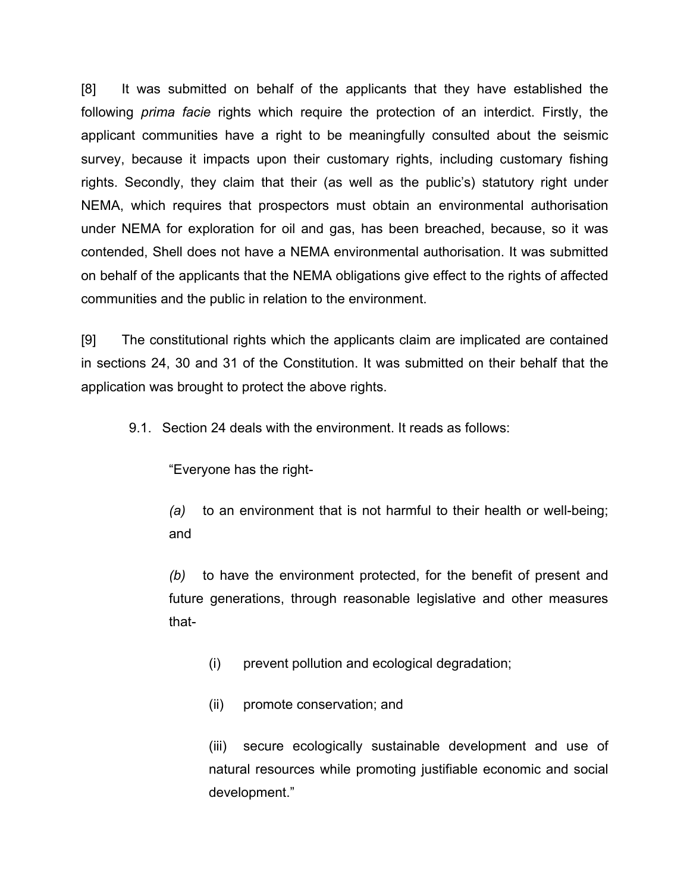[8] It was submitted on behalf of the applicants that they have established the following *prima facie* rights which require the protection of an interdict. Firstly, the applicant communities have a right to be meaningfully consulted about the seismic survey, because it impacts upon their customary rights, including customary fishing rights. Secondly, they claim that their (as well as the public's) statutory right under NEMA, which requires that prospectors must obtain an environmental authorisation under NEMA for exploration for oil and gas, has been breached, because, so it was contended, Shell does not have a NEMA environmental authorisation. It was submitted on behalf of the applicants that the NEMA obligations give effect to the rights of affected communities and the public in relation to the environment.

[9] The constitutional rights which the applicants claim are implicated are contained in sections 24, 30 and 31 of the Constitution. It was submitted on their behalf that the application was brought to protect the above rights.

9.1. Section 24 deals with the environment. It reads as follows:

"Everyone has the right-

*(a)* to an environment that is not harmful to their health or well-being; and

*(b)* to have the environment protected, for the benefit of present and future generations, through reasonable legislative and other measures that-

(i) prevent pollution and ecological degradation;

(ii) promote conservation; and

(iii) secure ecologically sustainable development and use of natural resources while promoting justifiable economic and social development."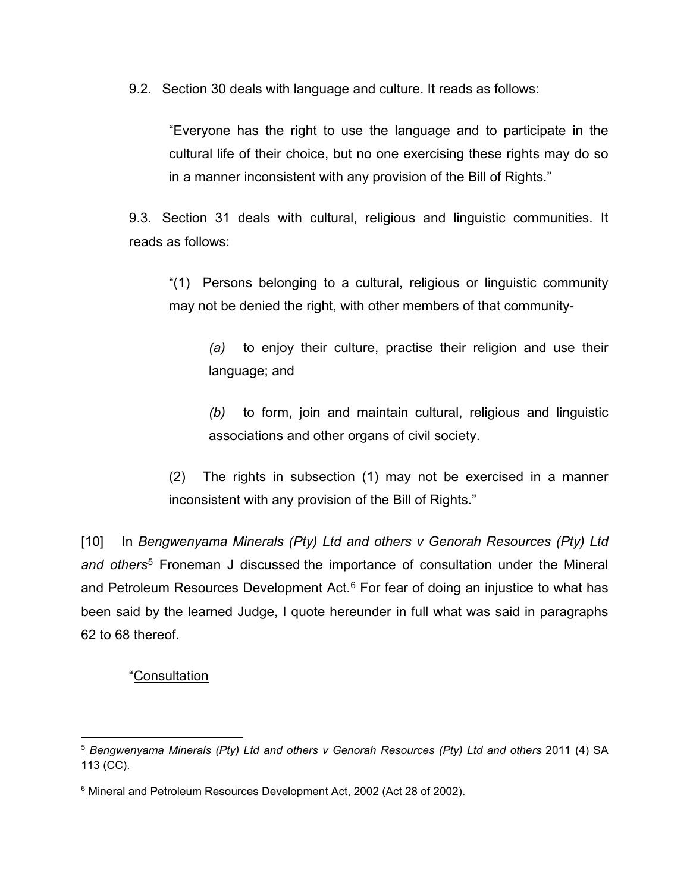9.2. Section 30 deals with language and culture. It reads as follows:

"Everyone has the right to use the language and to participate in the cultural life of their choice, but no one exercising these rights may do so in a manner inconsistent with any provision of the Bill of Rights."

9.3. Section 31 deals with cultural, religious and linguistic communities. It reads as follows:

"(1) Persons belonging to a cultural, religious or linguistic community may not be denied the right, with other members of that community-

*(a)* to enjoy their culture, practise their religion and use their language; and

*(b)* to form, join and maintain cultural, religious and linguistic associations and other organs of civil society.

(2) The rights in subsection (1) may not be exercised in a manner inconsistent with any provision of the Bill of Rights."

[10] In *Bengwenyama Minerals (Pty) Ltd and others v Genorah Resources (Pty) Ltd and others*[5](#page-5-0) Froneman J discussed the importance of consultation under the Mineral and Petroleum Resources Development Act. $6$  For fear of doing an injustice to what has been said by the learned Judge, I quote hereunder in full what was said in paragraphs 62 to 68 thereof.

# "Consultation

<span id="page-5-0"></span> <sup>5</sup> *Bengwenyama Minerals (Pty) Ltd and others v Genorah Resources (Pty) Ltd and others* 2011 (4) SA 113 (CC).

<span id="page-5-1"></span><sup>&</sup>lt;sup>6</sup> Mineral and Petroleum Resources Development Act, 2002 (Act 28 of 2002).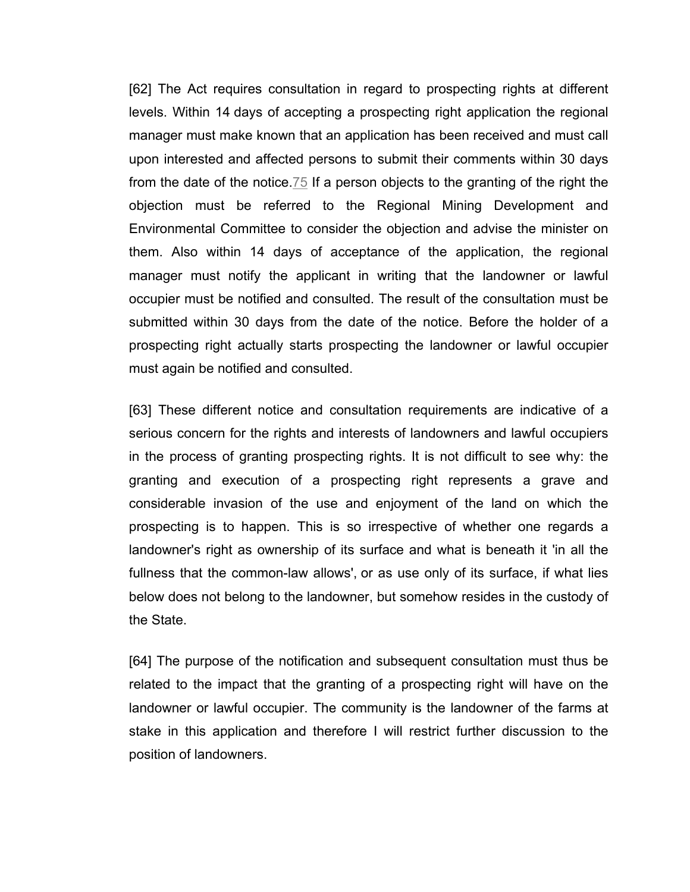[62] The Act requires consultation in regard to prospecting rights at different levels. Within 14 days of accepting a prospecting right application the regional manager must make known that an application has been received and must call upon interested and affected persons to submit their comments within 30 days from the date of the notice[.75](https://jutastat.juta.co.za/nxt/gateway.dll/salr/3/2327/2464/2473?f=templates&fn=document-frameset.htm&q=&uq=&x=&up=1&force=1828#end_0-0-0-253325) If a person objects to the granting of the right the objection must be referred to the Regional Mining Development and Environmental Committee to consider the objection and advise the minister on them. Also within 14 days of acceptance of the application, the regional manager must notify the applicant in writing that the landowner or lawful occupier must be notified and consulted. The result of the consultation must be submitted within 30 days from the date of the notice. Before the holder of a prospecting right actually starts prospecting the landowner or lawful occupier must again be notified and consulted.

[63] These different notice and consultation requirements are indicative of a serious concern for the rights and interests of landowners and lawful occupiers in the process of granting prospecting rights. It is not difficult to see why: the granting and execution of a prospecting right represents a grave and considerable invasion of the use and enjoyment of the land on which the prospecting is to happen. This is so irrespective of whether one regards a landowner's right as ownership of its surface and what is beneath it 'in all the fullness that the common-law allows', or as use only of its surface, if what lies below does not belong to the landowner, but somehow resides in the custody of the State.

[64] The purpose of the notification and subsequent consultation must thus be related to the impact that the granting of a prospecting right will have on the landowner or lawful occupier. The community is the landowner of the farms at stake in this application and therefore I will restrict further discussion to the position of landowners.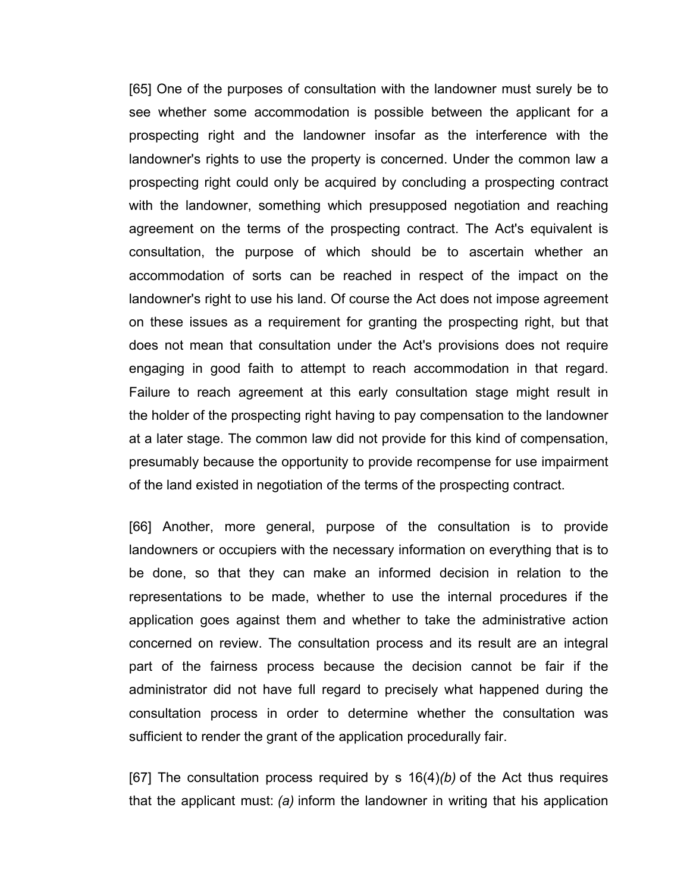[65] One of the purposes of consultation with the landowner must surely be to see whether some accommodation is possible between the applicant for a prospecting right and the landowner insofar as the interference with the landowner's rights to use the property is concerned. Under the common law a prospecting right could only be acquired by concluding a prospecting contract with the landowner, something which presupposed negotiation and reaching agreement on the terms of the prospecting contract. The Act's equivalent is consultation, the purpose of which should be to ascertain whether an accommodation of sorts can be reached in respect of the impact on the landowner's right to use his land. Of course the Act does not impose agreement on these issues as a requirement for granting the prospecting right, but that does not mean that consultation under the Act's provisions does not require engaging in good faith to attempt to reach accommodation in that regard. Failure to reach agreement at this early consultation stage might result in the holder of the prospecting right having to pay compensation to the landowner at a later stage. The common law did not provide for this kind of compensation, presumably because the opportunity to provide recompense for use impairment of the land existed in negotiation of the terms of the prospecting contract.

[66] Another, more general, purpose of the consultation is to provide landowners or occupiers with the necessary information on everything that is to be done, so that they can make an informed decision in relation to the representations to be made, whether to use the internal procedures if the application goes against them and whether to take the administrative action concerned on review. The consultation process and its result are an integral part of the fairness process because the decision cannot be fair if the administrator did not have full regard to precisely what happened during the consultation process in order to determine whether the consultation was sufficient to render the grant of the application procedurally fair.

[67] The consultation process required by s 16(4)*(b)* of the Act thus requires that the applicant must: *(a)* inform the landowner in writing that his application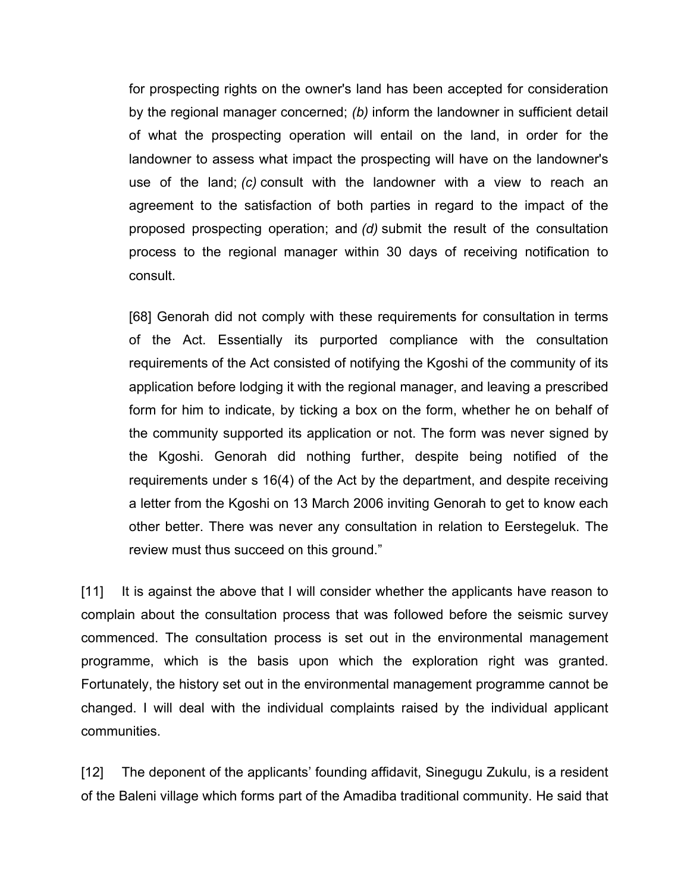for prospecting rights on the owner's land has been accepted for consideration by the regional manager concerned; *(b)* inform the landowner in sufficient detail of what the prospecting operation will entail on the land, in order for the landowner to assess what impact the prospecting will have on the landowner's use of the land; *(c)* consult with the landowner with a view to reach an agreement to the satisfaction of both parties in regard to the impact of the proposed prospecting operation; and *(d)* submit the result of the consultation process to the regional manager within 30 days of receiving notification to consult.

[68] Genorah did not comply with these requirements for consultation in terms of the Act. Essentially its purported compliance with the consultation requirements of the Act consisted of notifying the Kgoshi of the community of its application before lodging it with the regional manager, and leaving a prescribed form for him to indicate, by ticking a box on the form, whether he on behalf of the community supported its application or not. The form was never signed by the Kgoshi. Genorah did nothing further, despite being notified of the requirements under s 16(4) of the Act by the department, and despite receiving a letter from the Kgoshi on 13 March 2006 inviting Genorah to get to know each other better. There was never any consultation in relation to Eerstegeluk. The review must thus succeed on this ground."

[11] It is against the above that I will consider whether the applicants have reason to complain about the consultation process that was followed before the seismic survey commenced. The consultation process is set out in the environmental management programme, which is the basis upon which the exploration right was granted. Fortunately, the history set out in the environmental management programme cannot be changed. I will deal with the individual complaints raised by the individual applicant communities.

[12] The deponent of the applicants' founding affidavit, Sinegugu Zukulu, is a resident of the Baleni village which forms part of the Amadiba traditional community. He said that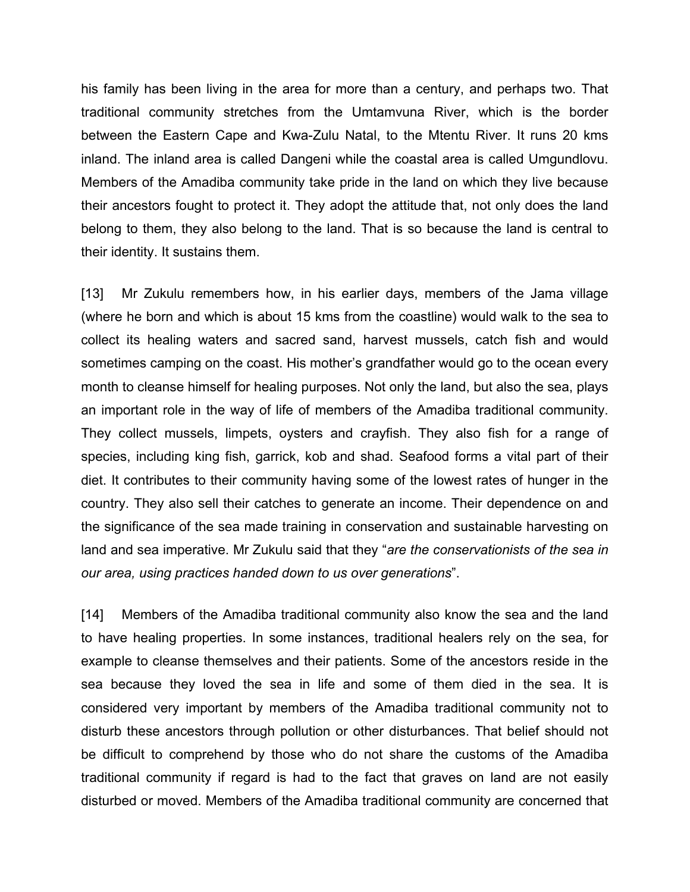his family has been living in the area for more than a century, and perhaps two. That traditional community stretches from the Umtamvuna River, which is the border between the Eastern Cape and Kwa-Zulu Natal, to the Mtentu River. It runs 20 kms inland. The inland area is called Dangeni while the coastal area is called Umgundlovu. Members of the Amadiba community take pride in the land on which they live because their ancestors fought to protect it. They adopt the attitude that, not only does the land belong to them, they also belong to the land. That is so because the land is central to their identity. It sustains them.

[13] Mr Zukulu remembers how, in his earlier days, members of the Jama village (where he born and which is about 15 kms from the coastline) would walk to the sea to collect its healing waters and sacred sand, harvest mussels, catch fish and would sometimes camping on the coast. His mother's grandfather would go to the ocean every month to cleanse himself for healing purposes. Not only the land, but also the sea, plays an important role in the way of life of members of the Amadiba traditional community. They collect mussels, limpets, oysters and crayfish. They also fish for a range of species, including king fish, garrick, kob and shad. Seafood forms a vital part of their diet. It contributes to their community having some of the lowest rates of hunger in the country. They also sell their catches to generate an income. Their dependence on and the significance of the sea made training in conservation and sustainable harvesting on land and sea imperative. Mr Zukulu said that they "*are the conservationists of the sea in our area, using practices handed down to us over generations*".

[14] Members of the Amadiba traditional community also know the sea and the land to have healing properties. In some instances, traditional healers rely on the sea, for example to cleanse themselves and their patients. Some of the ancestors reside in the sea because they loved the sea in life and some of them died in the sea. It is considered very important by members of the Amadiba traditional community not to disturb these ancestors through pollution or other disturbances. That belief should not be difficult to comprehend by those who do not share the customs of the Amadiba traditional community if regard is had to the fact that graves on land are not easily disturbed or moved. Members of the Amadiba traditional community are concerned that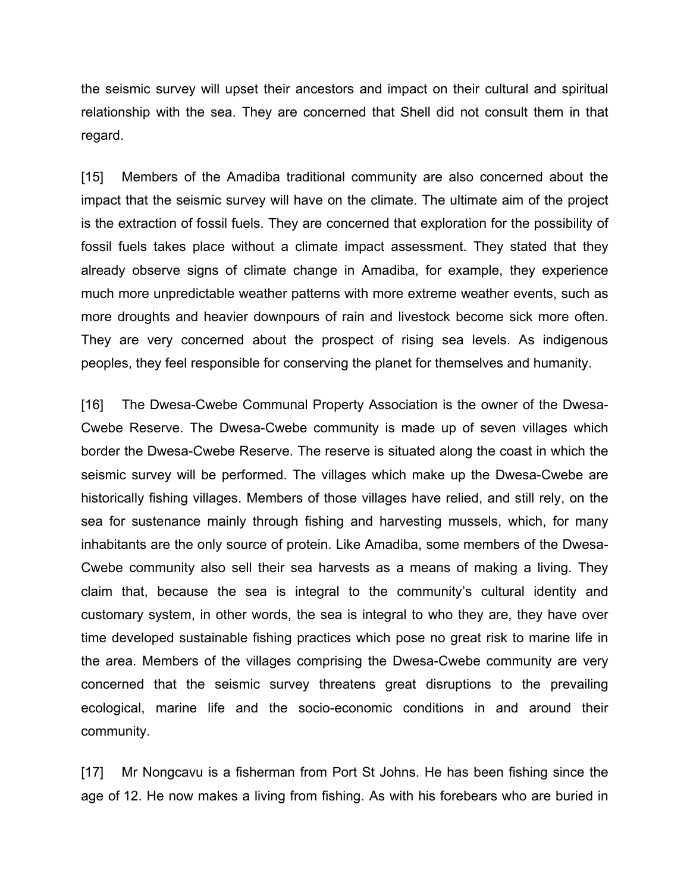the seismic survey will upset their ancestors and impact on their cultural and spiritual relationship with the sea. They are concerned that Shell did not consult them in that regard.

[15] Members of the Amadiba traditional community are also concerned about the impact that the seismic survey will have on the climate. The ultimate aim of the project is the extraction of fossil fuels. They are concerned that exploration for the possibility of fossil fuels takes place without a climate impact assessment. They stated that they already observe signs of climate change in Amadiba, for example, they experience much more unpredictable weather patterns with more extreme weather events, such as more droughts and heavier downpours of rain and livestock become sick more often. They are very concerned about the prospect of rising sea levels. As indigenous peoples, they feel responsible for conserving the planet for themselves and humanity.

[16] The Dwesa-Cwebe Communal Property Association is the owner of the Dwesa-Cwebe Reserve. The Dwesa-Cwebe community is made up of seven villages which border the Dwesa-Cwebe Reserve. The reserve is situated along the coast in which the seismic survey will be performed. The villages which make up the Dwesa-Cwebe are historically fishing villages. Members of those villages have relied, and still rely, on the sea for sustenance mainly through fishing and harvesting mussels, which, for many inhabitants are the only source of protein. Like Amadiba, some members of the Dwesa-Cwebe community also sell their sea harvests as a means of making a living. They claim that, because the sea is integral to the community's cultural identity and customary system, in other words, the sea is integral to who they are, they have over time developed sustainable fishing practices which pose no great risk to marine life in the area. Members of the villages comprising the Dwesa-Cwebe community are very concerned that the seismic survey threatens great disruptions to the prevailing ecological, marine life and the socio-economic conditions in and around their community.

[17] Mr Nongcavu is a fisherman from Port St Johns. He has been fishing since the age of 12. He now makes a living from fishing. As with his forebears who are buried in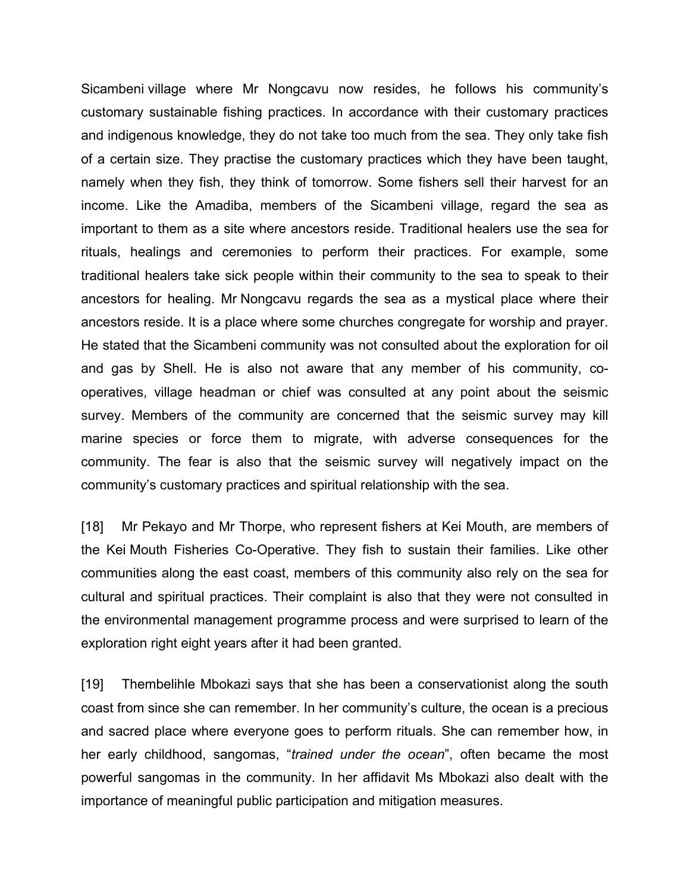Sicambeni village where Mr Nongcavu now resides, he follows his community's customary sustainable fishing practices. In accordance with their customary practices and indigenous knowledge, they do not take too much from the sea. They only take fish of a certain size. They practise the customary practices which they have been taught, namely when they fish, they think of tomorrow. Some fishers sell their harvest for an income. Like the Amadiba, members of the Sicambeni village, regard the sea as important to them as a site where ancestors reside. Traditional healers use the sea for rituals, healings and ceremonies to perform their practices. For example, some traditional healers take sick people within their community to the sea to speak to their ancestors for healing. Mr Nongcavu regards the sea as a mystical place where their ancestors reside. It is a place where some churches congregate for worship and prayer. He stated that the Sicambeni community was not consulted about the exploration for oil and gas by Shell. He is also not aware that any member of his community, cooperatives, village headman or chief was consulted at any point about the seismic survey. Members of the community are concerned that the seismic survey may kill marine species or force them to migrate, with adverse consequences for the community. The fear is also that the seismic survey will negatively impact on the community's customary practices and spiritual relationship with the sea.

[18] Mr Pekayo and Mr Thorpe, who represent fishers at Kei Mouth, are members of the Kei Mouth Fisheries Co-Operative. They fish to sustain their families. Like other communities along the east coast, members of this community also rely on the sea for cultural and spiritual practices. Their complaint is also that they were not consulted in the environmental management programme process and were surprised to learn of the exploration right eight years after it had been granted.

[19] Thembelihle Mbokazi says that she has been a conservationist along the south coast from since she can remember. In her community's culture, the ocean is a precious and sacred place where everyone goes to perform rituals. She can remember how, in her early childhood, sangomas, "*trained under the ocean*", often became the most powerful sangomas in the community. In her affidavit Ms Mbokazi also dealt with the importance of meaningful public participation and mitigation measures.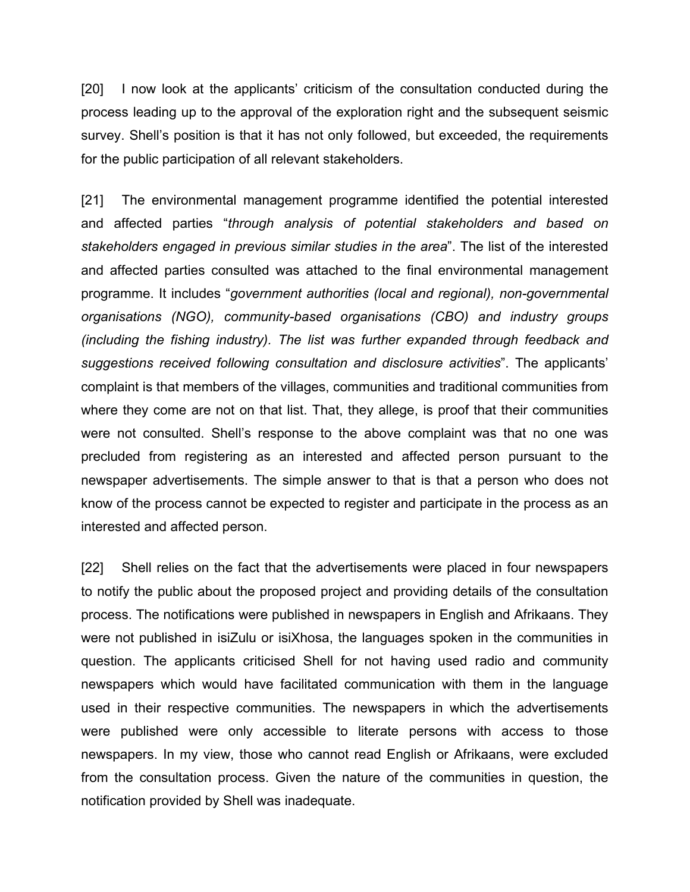[20] I now look at the applicants' criticism of the consultation conducted during the process leading up to the approval of the exploration right and the subsequent seismic survey. Shell's position is that it has not only followed, but exceeded, the requirements for the public participation of all relevant stakeholders.

[21] The environmental management programme identified the potential interested and affected parties "*through analysis of potential stakeholders and based on stakeholders engaged in previous similar studies in the area*". The list of the interested and affected parties consulted was attached to the final environmental management programme. It includes "*government authorities (local and regional), non-governmental organisations (NGO), community-based organisations (CBO) and industry groups (including the fishing industry). The list was further expanded through feedback and suggestions received following consultation and disclosure activities*". The applicants' complaint is that members of the villages, communities and traditional communities from where they come are not on that list. That, they allege, is proof that their communities were not consulted. Shell's response to the above complaint was that no one was precluded from registering as an interested and affected person pursuant to the newspaper advertisements. The simple answer to that is that a person who does not know of the process cannot be expected to register and participate in the process as an interested and affected person.

[22] Shell relies on the fact that the advertisements were placed in four newspapers to notify the public about the proposed project and providing details of the consultation process. The notifications were published in newspapers in English and Afrikaans. They were not published in isiZulu or isiXhosa, the languages spoken in the communities in question. The applicants criticised Shell for not having used radio and community newspapers which would have facilitated communication with them in the language used in their respective communities. The newspapers in which the advertisements were published were only accessible to literate persons with access to those newspapers. In my view, those who cannot read English or Afrikaans, were excluded from the consultation process. Given the nature of the communities in question, the notification provided by Shell was inadequate.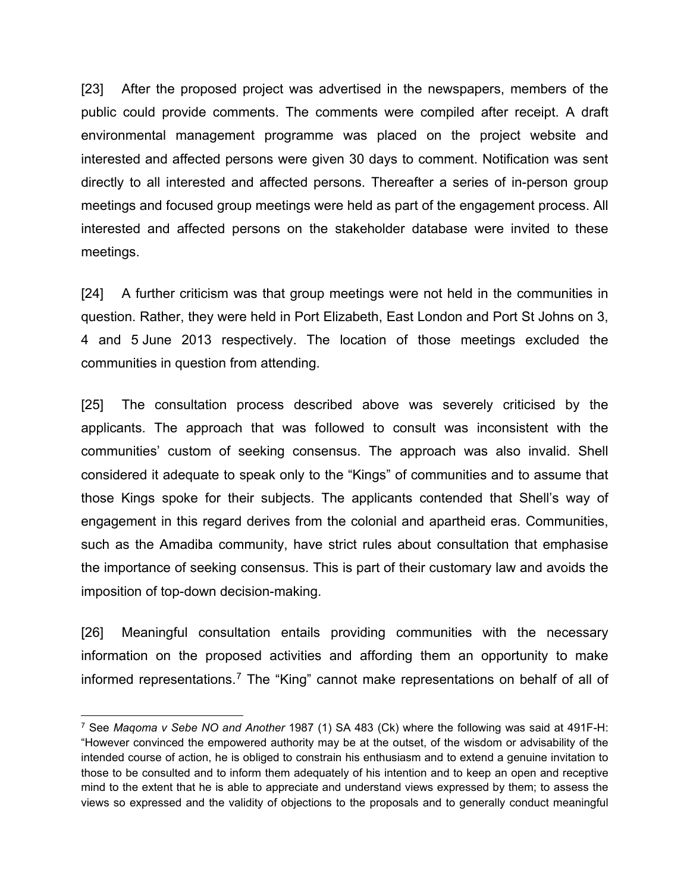[23] After the proposed project was advertised in the newspapers, members of the public could provide comments. The comments were compiled after receipt. A draft environmental management programme was placed on the project website and interested and affected persons were given 30 days to comment. Notification was sent directly to all interested and affected persons. Thereafter a series of in-person group meetings and focused group meetings were held as part of the engagement process. All interested and affected persons on the stakeholder database were invited to these meetings.

[24] A further criticism was that group meetings were not held in the communities in question. Rather, they were held in Port Elizabeth, East London and Port St Johns on 3, 4 and 5 June 2013 respectively. The location of those meetings excluded the communities in question from attending.

[25] The consultation process described above was severely criticised by the applicants. The approach that was followed to consult was inconsistent with the communities' custom of seeking consensus. The approach was also invalid. Shell considered it adequate to speak only to the "Kings" of communities and to assume that those Kings spoke for their subjects. The applicants contended that Shell's way of engagement in this regard derives from the colonial and apartheid eras. Communities, such as the Amadiba community, have strict rules about consultation that emphasise the importance of seeking consensus. This is part of their customary law and avoids the imposition of top-down decision-making.

[26] Meaningful consultation entails providing communities with the necessary information on the proposed activities and affording them an opportunity to make informed representations.<sup>[7](#page-13-0)</sup> The "King" cannot make representations on behalf of all of

<span id="page-13-0"></span> <sup>7</sup> See *Maqoma v Sebe NO and Another* 1987 (1) SA 483 (Ck) where the following was said at 491F-H: "However convinced the empowered authority may be at the outset, of the wisdom or advisability of the intended course of action, he is obliged to constrain his enthusiasm and to extend a genuine invitation to those to be consulted and to inform them adequately of his intention and to keep an open and receptive mind to the extent that he is able to appreciate and understand views expressed by them; to assess the views so expressed and the validity of objections to the proposals and to generally conduct meaningful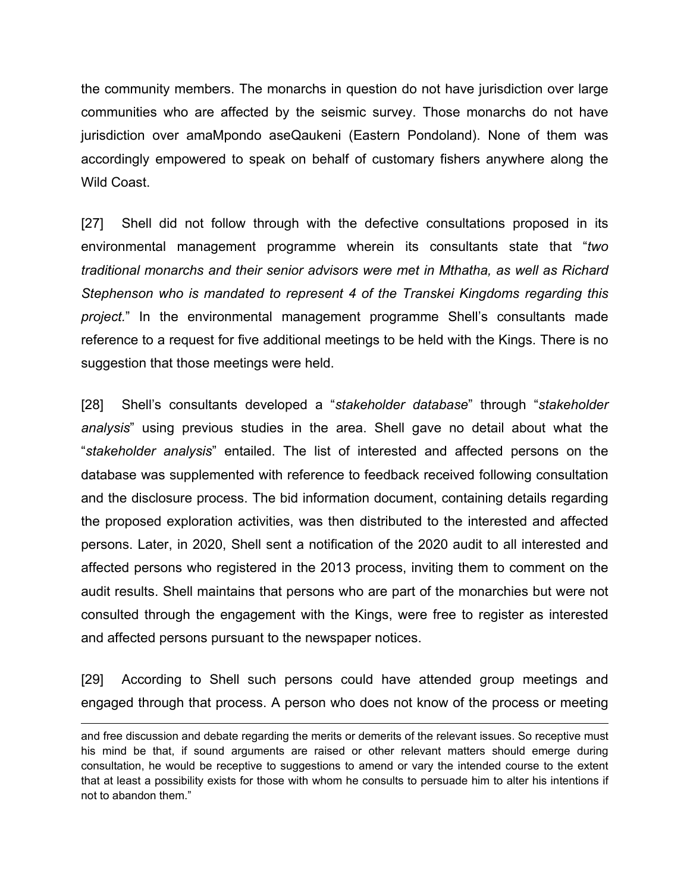the community members. The monarchs in question do not have jurisdiction over large communities who are affected by the seismic survey. Those monarchs do not have jurisdiction over amaMpondo aseQaukeni (Eastern Pondoland). None of them was accordingly empowered to speak on behalf of customary fishers anywhere along the Wild Coast

[27] Shell did not follow through with the defective consultations proposed in its environmental management programme wherein its consultants state that "*two traditional monarchs and their senior advisors were met in Mthatha, as well as Richard Stephenson who is mandated to represent 4 of the Transkei Kingdoms regarding this project.*" In the environmental management programme Shell's consultants made reference to a request for five additional meetings to be held with the Kings. There is no suggestion that those meetings were held.

[28] Shell's consultants developed a "*stakeholder database*" through "*stakeholder analysis*" using previous studies in the area. Shell gave no detail about what the "*stakeholder analysis*" entailed. The list of interested and affected persons on the database was supplemented with reference to feedback received following consultation and the disclosure process. The bid information document, containing details regarding the proposed exploration activities, was then distributed to the interested and affected persons. Later, in 2020, Shell sent a notification of the 2020 audit to all interested and affected persons who registered in the 2013 process, inviting them to comment on the audit results. Shell maintains that persons who are part of the monarchies but were not consulted through the engagement with the Kings, were free to register as interested and affected persons pursuant to the newspaper notices.

[29] According to Shell such persons could have attended group meetings and engaged through that process. A person who does not know of the process or meeting

and free discussion and debate regarding the merits or demerits of the relevant issues. So receptive must his mind be that, if sound arguments are raised or other relevant matters should emerge during consultation, he would be receptive to suggestions to amend or vary the intended course to the extent that at least a possibility exists for those with whom he consults to persuade him to alter his intentions if not to abandon them."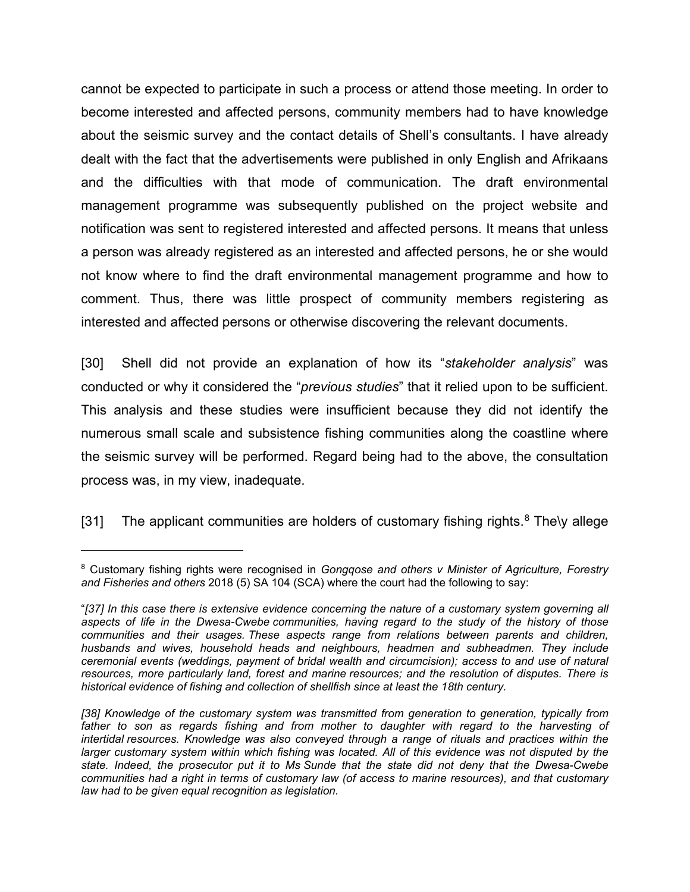cannot be expected to participate in such a process or attend those meeting. In order to become interested and affected persons, community members had to have knowledge about the seismic survey and the contact details of Shell's consultants. I have already dealt with the fact that the advertisements were published in only English and Afrikaans and the difficulties with that mode of communication. The draft environmental management programme was subsequently published on the project website and notification was sent to registered interested and affected persons. It means that unless a person was already registered as an interested and affected persons, he or she would not know where to find the draft environmental management programme and how to comment. Thus, there was little prospect of community members registering as interested and affected persons or otherwise discovering the relevant documents.

[30] Shell did not provide an explanation of how its "*stakeholder analysis*" was conducted or why it considered the "*previous studies*" that it relied upon to be sufficient. This analysis and these studies were insufficient because they did not identify the numerous small scale and subsistence fishing communities along the coastline where the seismic survey will be performed. Regard being had to the above, the consultation process was, in my view, inadequate.

[31] The applicant communities are holders of customary fishing rights.<sup>[8](#page-15-0)</sup> The\y allege

 $\overline{a}$ 

<span id="page-15-0"></span><sup>8</sup> Customary fishing rights were recognised in *Gongqose and others v Minister of Agriculture, Forestry and Fisheries and others* 2018 (5) SA 104 (SCA) where the court had the following to say:

<sup>&</sup>quot;*[37] In this case there is extensive evidence concerning the nature of a customary system governing all aspects of life in the Dwesa-Cwebe communities, having regard to the study of the history of those communities and their usages. These aspects range from relations between parents and children, husbands and wives, household heads and neighbours, headmen and subheadmen. They include ceremonial events (weddings, payment of bridal wealth and circumcision); access to and use of natural resources, more particularly land, forest and marine resources; and the resolution of disputes. There is historical evidence of fishing and collection of shellfish since at least the 18th century.*

*<sup>[38]</sup> Knowledge of the customary system was transmitted from generation to generation, typically from*  father to son as regards fishing and from mother to daughter with regard to the harvesting of *intertidal resources. Knowledge was also conveyed through a range of rituals and practices within the larger customary system within which fishing was located. All of this evidence was not disputed by the state. Indeed, the prosecutor put it to Ms Sunde that the state did not deny that the Dwesa-Cwebe communities had a right in terms of customary law (of access to marine resources), and that customary law had to be given equal recognition as legislation.*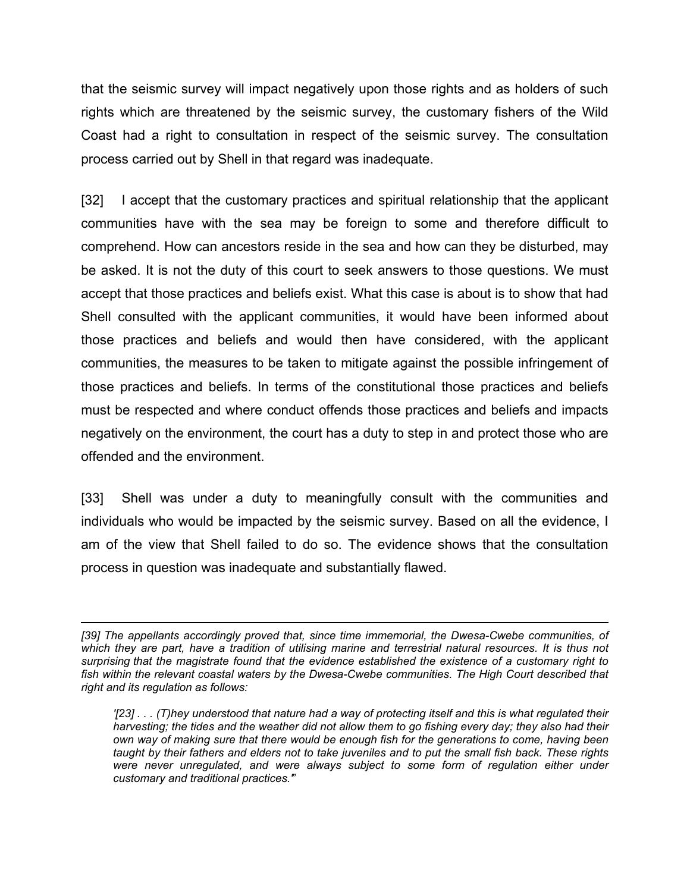that the seismic survey will impact negatively upon those rights and as holders of such rights which are threatened by the seismic survey, the customary fishers of the Wild Coast had a right to consultation in respect of the seismic survey. The consultation process carried out by Shell in that regard was inadequate.

[32] I accept that the customary practices and spiritual relationship that the applicant communities have with the sea may be foreign to some and therefore difficult to comprehend. How can ancestors reside in the sea and how can they be disturbed, may be asked. It is not the duty of this court to seek answers to those questions. We must accept that those practices and beliefs exist. What this case is about is to show that had Shell consulted with the applicant communities, it would have been informed about those practices and beliefs and would then have considered, with the applicant communities, the measures to be taken to mitigate against the possible infringement of those practices and beliefs. In terms of the constitutional those practices and beliefs must be respected and where conduct offends those practices and beliefs and impacts negatively on the environment, the court has a duty to step in and protect those who are offended and the environment.

[33] Shell was under a duty to meaningfully consult with the communities and individuals who would be impacted by the seismic survey. Based on all the evidence, I am of the view that Shell failed to do so. The evidence shows that the consultation process in question was inadequate and substantially flawed.

 $\overline{a}$ *[39] The appellants accordingly proved that, since time immemorial, the Dwesa-Cwebe communities, of*  which they are part, have a tradition of utilising marine and terrestrial natural resources. It is thus not *surprising that the magistrate found that the evidence established the existence of a customary right to*  fish within the relevant coastal waters by the Dwesa-Cwebe communities. The High Court described that *right and its regulation as follows:*

*'[23] . . . (T)hey understood that nature had a way of protecting itself and this is what regulated their harvesting; the tides and the weather did not allow them to go fishing every day; they also had their own way of making sure that there would be enough fish for the generations to come, having been taught by their fathers and elders not to take juveniles and to put the small fish back. These rights were never unregulated, and were always subject to some form of regulation either under customary and traditional practices.'*"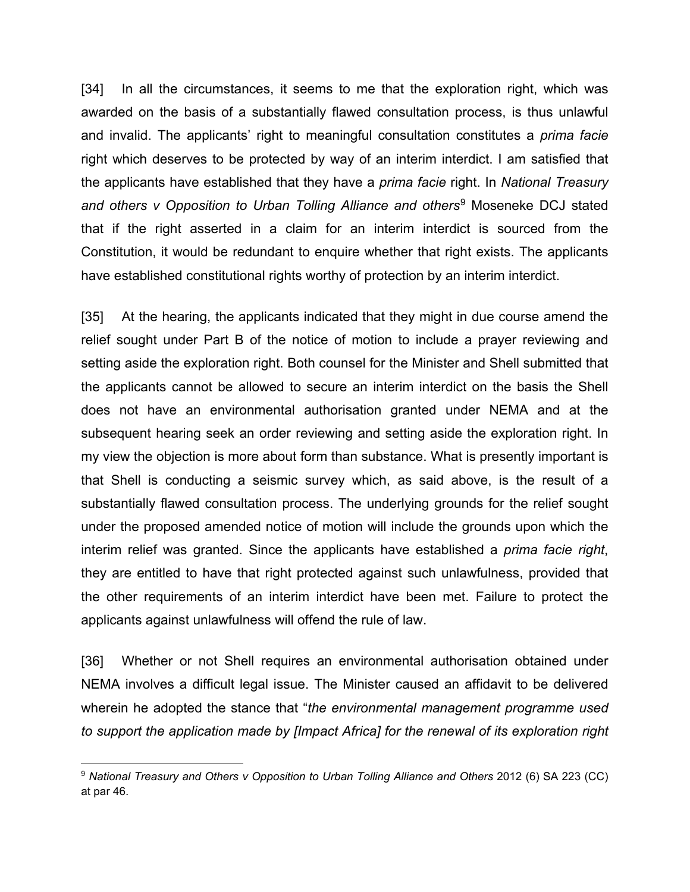[34] In all the circumstances, it seems to me that the exploration right, which was awarded on the basis of a substantially flawed consultation process, is thus unlawful and invalid. The applicants' right to meaningful consultation constitutes a *prima facie* right which deserves to be protected by way of an interim interdict. I am satisfied that the applicants have established that they have a *prima facie* right. In *National Treasury and others v Opposition to Urban Tolling Alliance and others*[9](#page-17-0) Moseneke DCJ stated that if the right asserted in a claim for an interim interdict is sourced from the Constitution, it would be redundant to enquire whether that right exists. The applicants have established constitutional rights worthy of protection by an interim interdict.

[35] At the hearing, the applicants indicated that they might in due course amend the relief sought under Part B of the notice of motion to include a prayer reviewing and setting aside the exploration right. Both counsel for the Minister and Shell submitted that the applicants cannot be allowed to secure an interim interdict on the basis the Shell does not have an environmental authorisation granted under NEMA and at the subsequent hearing seek an order reviewing and setting aside the exploration right. In my view the objection is more about form than substance. What is presently important is that Shell is conducting a seismic survey which, as said above, is the result of a substantially flawed consultation process. The underlying grounds for the relief sought under the proposed amended notice of motion will include the grounds upon which the interim relief was granted. Since the applicants have established a *prima facie right*, they are entitled to have that right protected against such unlawfulness, provided that the other requirements of an interim interdict have been met. Failure to protect the applicants against unlawfulness will offend the rule of law.

[36] Whether or not Shell requires an environmental authorisation obtained under NEMA involves a difficult legal issue. The Minister caused an affidavit to be delivered wherein he adopted the stance that "*the environmental management programme used to support the application made by [Impact Africa] for the renewal of its exploration right* 

<span id="page-17-0"></span> <sup>9</sup> *National Treasury and Others v Opposition to Urban Tolling Alliance and Others* 2012 (6) SA 223 (CC) at par 46.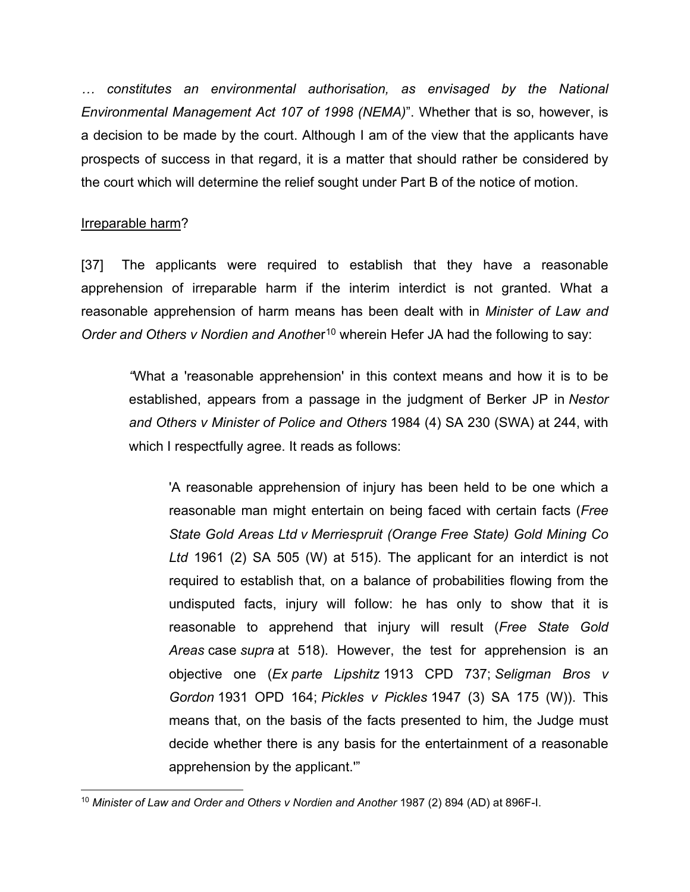*… constitutes an environmental authorisation, as envisaged by the National Environmental Management Act 107 of 1998 (NEMA)*". Whether that is so, however, is a decision to be made by the court. Although I am of the view that the applicants have prospects of success in that regard, it is a matter that should rather be considered by the court which will determine the relief sought under Part B of the notice of motion.

# Irreparable harm?

[37] The applicants were required to establish that they have a reasonable apprehension of irreparable harm if the interim interdict is not granted. What a reasonable apprehension of harm means has been dealt with in *Minister of Law and Order and Others v Nordien and Another*<sup>[10](#page-18-0)</sup> wherein Hefer JA had the following to say:

*"*What a 'reasonable apprehension' in this context means and how it is to be established, appears from a passage in the judgment of Berker JP in *Nestor and Others v Minister of Police and Others* 1984 (4) SA 230 (SWA) at 244, with which I respectfully agree. It reads as follows:

'A reasonable apprehension of injury has been held to be one which a reasonable man might entertain on being faced with certain facts (*Free State Gold Areas Ltd v Merriespruit (Orange Free State) Gold Mining Co Ltd* 1961 (2) SA 505 (W) at 515). The applicant for an interdict is not required to establish that, on a balance of probabilities flowing from the undisputed facts, injury will follow: he has only to show that it is reasonable to apprehend that injury will result (*Free State Gold Areas* case *supra* at 518). However, the test for apprehension is an objective one (*Ex parte Lipshitz* 1913 CPD 737; *Seligman Bros v Gordon* 1931 OPD 164; *Pickles v Pickles* 1947 (3) SA 175 (W)). This means that, on the basis of the facts presented to him, the Judge must decide whether there is any basis for the entertainment of a reasonable apprehension by the applicant.'"

<span id="page-18-0"></span> <sup>10</sup> *Minister of Law and Order and Others v Nordien and Another* 1987 (2) 894 (AD) at 896F-I.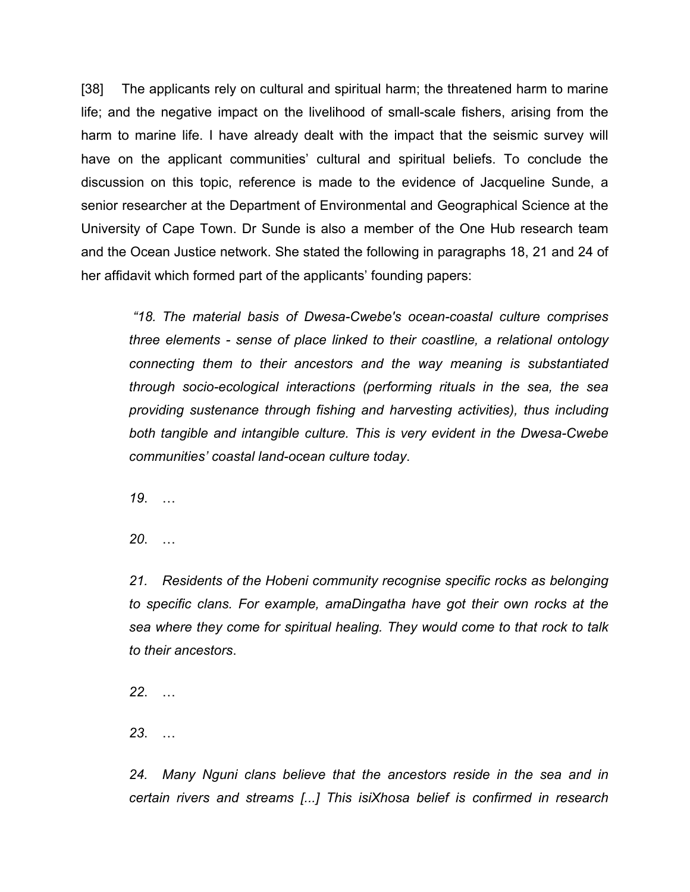[38] The applicants rely on cultural and spiritual harm; the threatened harm to marine life; and the negative impact on the livelihood of small-scale fishers, arising from the harm to marine life. I have already dealt with the impact that the seismic survey will have on the applicant communities' cultural and spiritual beliefs. To conclude the discussion on this topic, reference is made to the evidence of Jacqueline Sunde, a senior researcher at the Department of Environmental and Geographical Science at the University of Cape Town. Dr Sunde is also a member of the One Hub research team and the Ocean Justice network. She stated the following in paragraphs 18, 21 and 24 of her affidavit which formed part of the applicants' founding papers:

*"18. The material basis of Dwesa-Cwebe's ocean-coastal culture comprises three elements - sense of place linked to their coastline, a relational ontology connecting them to their ancestors and the way meaning is substantiated through socio-ecological interactions (performing rituals in the sea, the sea providing sustenance through fishing and harvesting activities), thus including both tangible and intangible culture. This is very evident in the Dwesa-Cwebe communities' coastal land-ocean culture today*.

*19*. …

*20*. …

*21. Residents of the Hobeni community recognise specific rocks as belonging to specific clans. For example, amaDingatha have got their own rocks at the sea where they come for spiritual healing. They would come to that rock to talk to their ancestors*.

*22*. …

*23*. …

*24. Many Nguni clans believe that the ancestors reside in the sea and in certain rivers and streams [...] This isiXhosa belief is confirmed in research*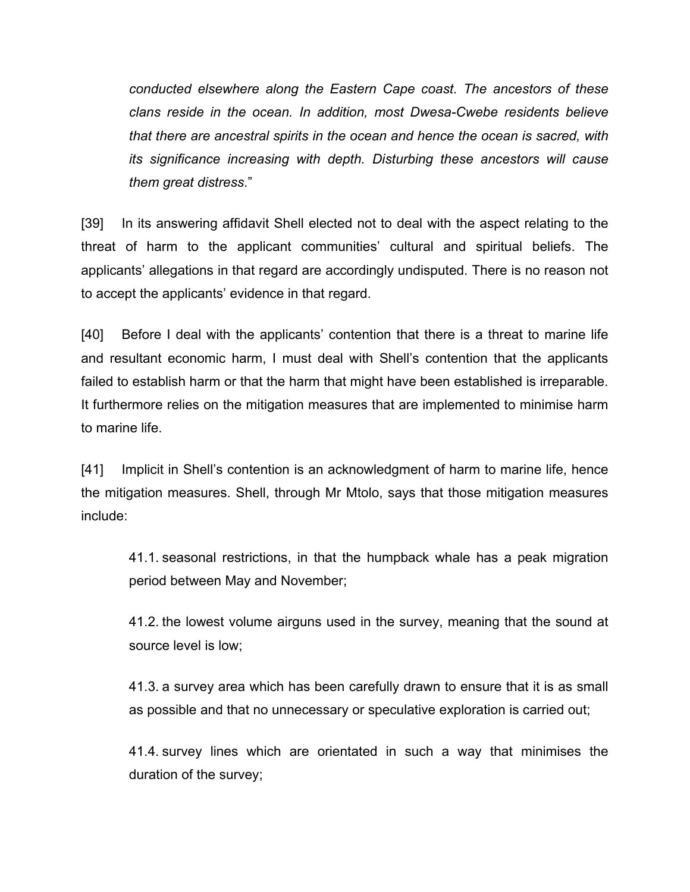*conducted elsewhere along the Eastern Cape coast. The ancestors of these clans reside in the ocean. In addition, most Dwesa-Cwebe residents believe that there are ancestral spirits in the ocean and hence the ocean is sacred, with its significance increasing with depth. Disturbing these ancestors will cause them great distress*."

[39] In its answering affidavit Shell elected not to deal with the aspect relating to the threat of harm to the applicant communities' cultural and spiritual beliefs. The applicants' allegations in that regard are accordingly undisputed. There is no reason not to accept the applicants' evidence in that regard.

[40] Before I deal with the applicants' contention that there is a threat to marine life and resultant economic harm, I must deal with Shell's contention that the applicants failed to establish harm or that the harm that might have been established is irreparable. It furthermore relies on the mitigation measures that are implemented to minimise harm to marine life.

[41] Implicit in Shell's contention is an acknowledgment of harm to marine life, hence the mitigation measures. Shell, through Mr Mtolo, says that those mitigation measures include:

41.1. seasonal restrictions, in that the humpback whale has a peak migration period between May and November;

41.2. the lowest volume airguns used in the survey, meaning that the sound at source level is low;

41.3. a survey area which has been carefully drawn to ensure that it is as small as possible and that no unnecessary or speculative exploration is carried out;

41.4. survey lines which are orientated in such a way that minimises the duration of the survey;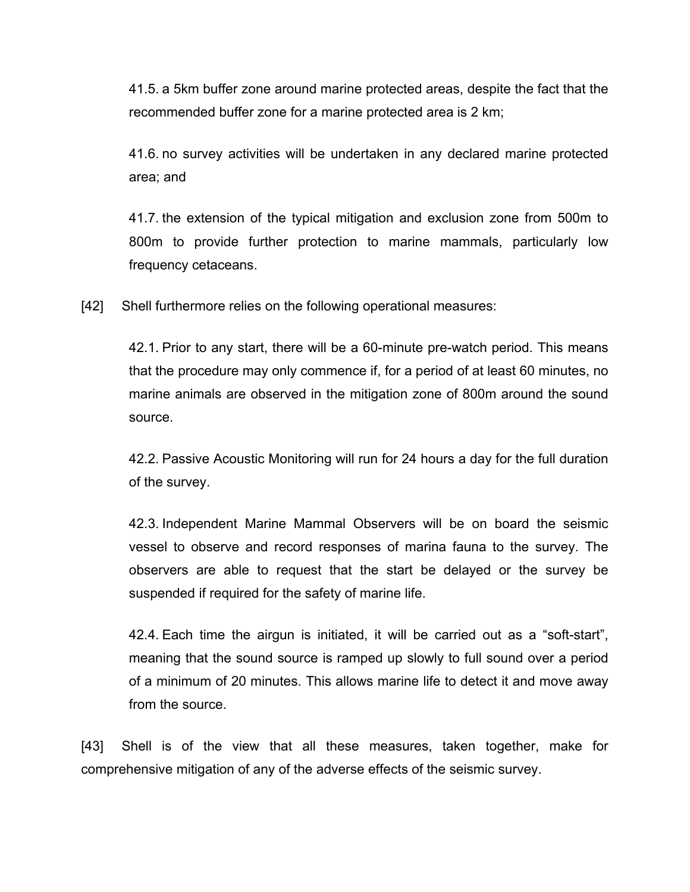41.5. a 5km buffer zone around marine protected areas, despite the fact that the recommended buffer zone for a marine protected area is 2 km;

41.6. no survey activities will be undertaken in any declared marine protected area; and

41.7. the extension of the typical mitigation and exclusion zone from 500m to 800m to provide further protection to marine mammals, particularly low frequency cetaceans.

[42] Shell furthermore relies on the following operational measures:

42.1. Prior to any start, there will be a 60-minute pre-watch period. This means that the procedure may only commence if, for a period of at least 60 minutes, no marine animals are observed in the mitigation zone of 800m around the sound source.

42.2. Passive Acoustic Monitoring will run for 24 hours a day for the full duration of the survey.

42.3. Independent Marine Mammal Observers will be on board the seismic vessel to observe and record responses of marina fauna to the survey. The observers are able to request that the start be delayed or the survey be suspended if required for the safety of marine life.

42.4. Each time the airgun is initiated, it will be carried out as a "soft-start", meaning that the sound source is ramped up slowly to full sound over a period of a minimum of 20 minutes. This allows marine life to detect it and move away from the source.

[43] Shell is of the view that all these measures, taken together, make for comprehensive mitigation of any of the adverse effects of the seismic survey.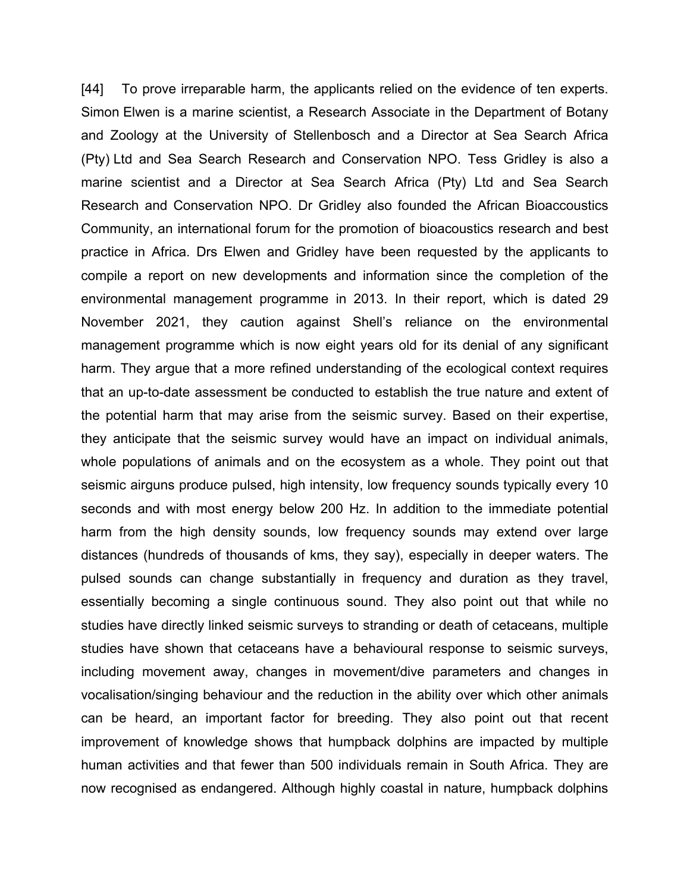[44] To prove irreparable harm, the applicants relied on the evidence of ten experts. Simon Elwen is a marine scientist, a Research Associate in the Department of Botany and Zoology at the University of Stellenbosch and a Director at Sea Search Africa (Pty) Ltd and Sea Search Research and Conservation NPO. Tess Gridley is also a marine scientist and a Director at Sea Search Africa (Pty) Ltd and Sea Search Research and Conservation NPO. Dr Gridley also founded the African Bioaccoustics Community, an international forum for the promotion of bioacoustics research and best practice in Africa. Drs Elwen and Gridley have been requested by the applicants to compile a report on new developments and information since the completion of the environmental management programme in 2013. In their report, which is dated 29 November 2021, they caution against Shell's reliance on the environmental management programme which is now eight years old for its denial of any significant harm. They argue that a more refined understanding of the ecological context requires that an up-to-date assessment be conducted to establish the true nature and extent of the potential harm that may arise from the seismic survey. Based on their expertise, they anticipate that the seismic survey would have an impact on individual animals, whole populations of animals and on the ecosystem as a whole. They point out that seismic airguns produce pulsed, high intensity, low frequency sounds typically every 10 seconds and with most energy below 200 Hz. In addition to the immediate potential harm from the high density sounds, low frequency sounds may extend over large distances (hundreds of thousands of kms, they say), especially in deeper waters. The pulsed sounds can change substantially in frequency and duration as they travel, essentially becoming a single continuous sound. They also point out that while no studies have directly linked seismic surveys to stranding or death of cetaceans, multiple studies have shown that cetaceans have a behavioural response to seismic surveys, including movement away, changes in movement/dive parameters and changes in vocalisation/singing behaviour and the reduction in the ability over which other animals can be heard, an important factor for breeding. They also point out that recent improvement of knowledge shows that humpback dolphins are impacted by multiple human activities and that fewer than 500 individuals remain in South Africa. They are now recognised as endangered. Although highly coastal in nature, humpback dolphins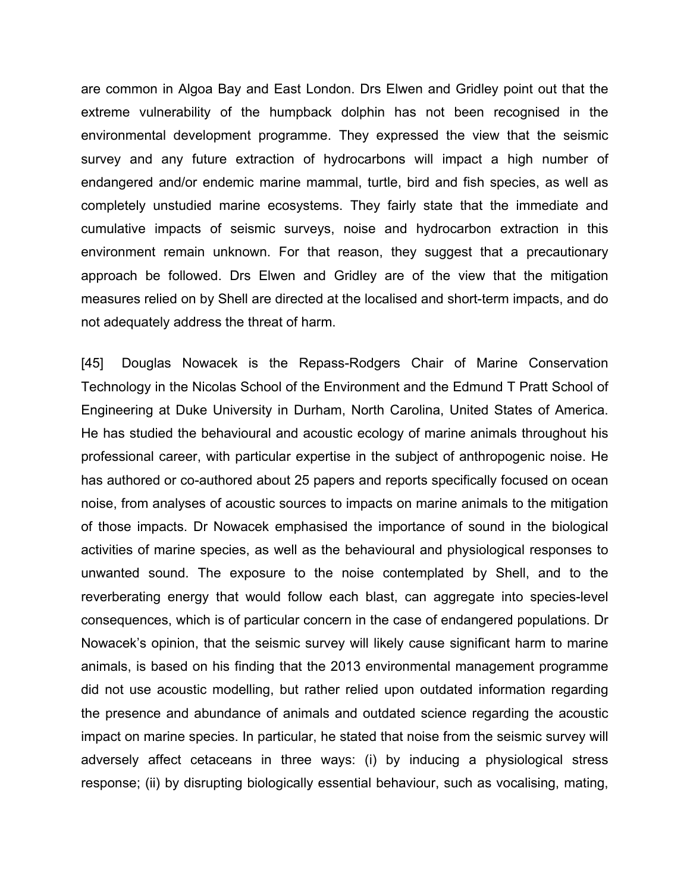are common in Algoa Bay and East London. Drs Elwen and Gridley point out that the extreme vulnerability of the humpback dolphin has not been recognised in the environmental development programme. They expressed the view that the seismic survey and any future extraction of hydrocarbons will impact a high number of endangered and/or endemic marine mammal, turtle, bird and fish species, as well as completely unstudied marine ecosystems. They fairly state that the immediate and cumulative impacts of seismic surveys, noise and hydrocarbon extraction in this environment remain unknown. For that reason, they suggest that a precautionary approach be followed. Drs Elwen and Gridley are of the view that the mitigation measures relied on by Shell are directed at the localised and short-term impacts, and do not adequately address the threat of harm.

[45] Douglas Nowacek is the Repass-Rodgers Chair of Marine Conservation Technology in the Nicolas School of the Environment and the Edmund T Pratt School of Engineering at Duke University in Durham, North Carolina, United States of America. He has studied the behavioural and acoustic ecology of marine animals throughout his professional career, with particular expertise in the subject of anthropogenic noise. He has authored or co-authored about 25 papers and reports specifically focused on ocean noise, from analyses of acoustic sources to impacts on marine animals to the mitigation of those impacts. Dr Nowacek emphasised the importance of sound in the biological activities of marine species, as well as the behavioural and physiological responses to unwanted sound. The exposure to the noise contemplated by Shell, and to the reverberating energy that would follow each blast, can aggregate into species-level consequences, which is of particular concern in the case of endangered populations. Dr Nowacek's opinion, that the seismic survey will likely cause significant harm to marine animals, is based on his finding that the 2013 environmental management programme did not use acoustic modelling, but rather relied upon outdated information regarding the presence and abundance of animals and outdated science regarding the acoustic impact on marine species. In particular, he stated that noise from the seismic survey will adversely affect cetaceans in three ways: (i) by inducing a physiological stress response; (ii) by disrupting biologically essential behaviour, such as vocalising, mating,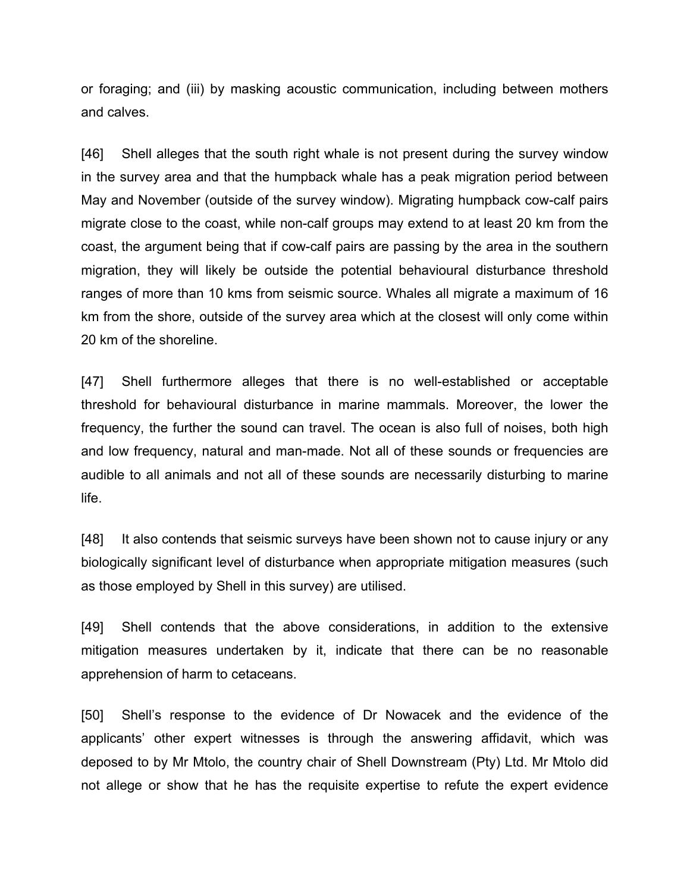or foraging; and (iii) by masking acoustic communication, including between mothers and calves.

[46] Shell alleges that the south right whale is not present during the survey window in the survey area and that the humpback whale has a peak migration period between May and November (outside of the survey window). Migrating humpback cow-calf pairs migrate close to the coast, while non-calf groups may extend to at least 20 km from the coast, the argument being that if cow-calf pairs are passing by the area in the southern migration, they will likely be outside the potential behavioural disturbance threshold ranges of more than 10 kms from seismic source. Whales all migrate a maximum of 16 km from the shore, outside of the survey area which at the closest will only come within 20 km of the shoreline.

[47] Shell furthermore alleges that there is no well-established or acceptable threshold for behavioural disturbance in marine mammals. Moreover, the lower the frequency, the further the sound can travel. The ocean is also full of noises, both high and low frequency, natural and man-made. Not all of these sounds or frequencies are audible to all animals and not all of these sounds are necessarily disturbing to marine life.

[48] It also contends that seismic surveys have been shown not to cause injury or any biologically significant level of disturbance when appropriate mitigation measures (such as those employed by Shell in this survey) are utilised.

[49] Shell contends that the above considerations, in addition to the extensive mitigation measures undertaken by it, indicate that there can be no reasonable apprehension of harm to cetaceans.

[50] Shell's response to the evidence of Dr Nowacek and the evidence of the applicants' other expert witnesses is through the answering affidavit, which was deposed to by Mr Mtolo, the country chair of Shell Downstream (Pty) Ltd. Mr Mtolo did not allege or show that he has the requisite expertise to refute the expert evidence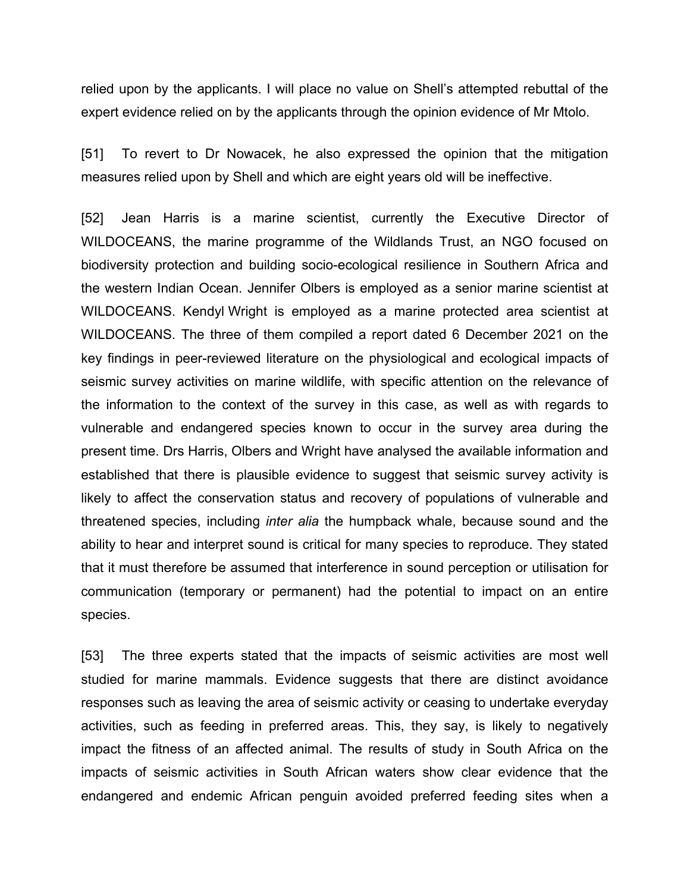relied upon by the applicants. I will place no value on Shell's attempted rebuttal of the expert evidence relied on by the applicants through the opinion evidence of Mr Mtolo.

[51] To revert to Dr Nowacek, he also expressed the opinion that the mitigation measures relied upon by Shell and which are eight years old will be ineffective.

[52] Jean Harris is a marine scientist, currently the Executive Director of WILDOCEANS, the marine programme of the Wildlands Trust, an NGO focused on biodiversity protection and building socio-ecological resilience in Southern Africa and the western Indian Ocean. Jennifer Olbers is employed as a senior marine scientist at WILDOCEANS. Kendyl Wright is employed as a marine protected area scientist at WILDOCEANS. The three of them compiled a report dated 6 December 2021 on the key findings in peer-reviewed literature on the physiological and ecological impacts of seismic survey activities on marine wildlife, with specific attention on the relevance of the information to the context of the survey in this case, as well as with regards to vulnerable and endangered species known to occur in the survey area during the present time. Drs Harris, Olbers and Wright have analysed the available information and established that there is plausible evidence to suggest that seismic survey activity is likely to affect the conservation status and recovery of populations of vulnerable and threatened species, including *inter alia* the humpback whale, because sound and the ability to hear and interpret sound is critical for many species to reproduce. They stated that it must therefore be assumed that interference in sound perception or utilisation for communication (temporary or permanent) had the potential to impact on an entire species.

[53] The three experts stated that the impacts of seismic activities are most well studied for marine mammals. Evidence suggests that there are distinct avoidance responses such as leaving the area of seismic activity or ceasing to undertake everyday activities, such as feeding in preferred areas. This, they say, is likely to negatively impact the fitness of an affected animal. The results of study in South Africa on the impacts of seismic activities in South African waters show clear evidence that the endangered and endemic African penguin avoided preferred feeding sites when a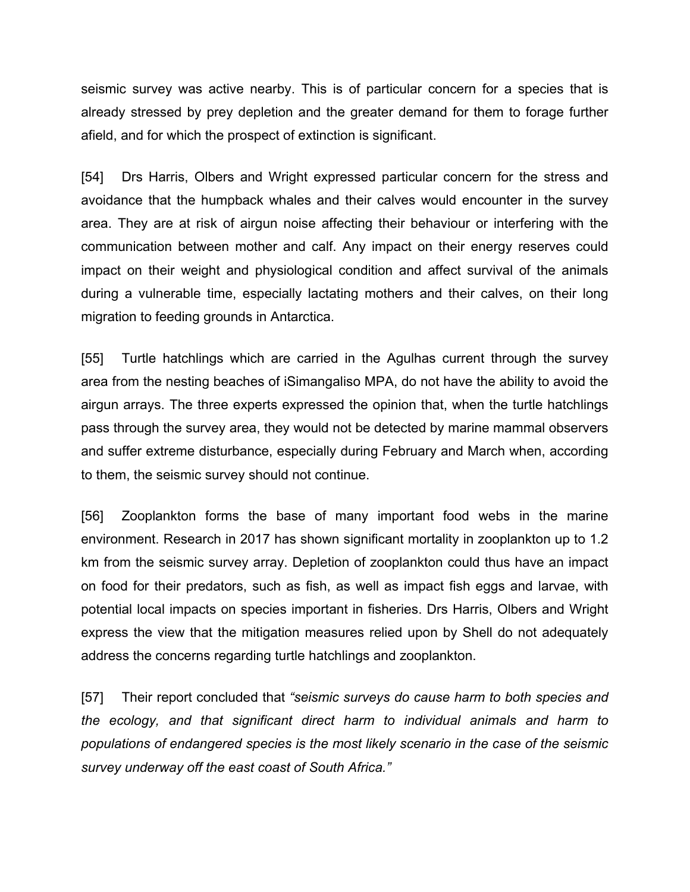seismic survey was active nearby. This is of particular concern for a species that is already stressed by prey depletion and the greater demand for them to forage further afield, and for which the prospect of extinction is significant.

[54] Drs Harris, Olbers and Wright expressed particular concern for the stress and avoidance that the humpback whales and their calves would encounter in the survey area. They are at risk of airgun noise affecting their behaviour or interfering with the communication between mother and calf. Any impact on their energy reserves could impact on their weight and physiological condition and affect survival of the animals during a vulnerable time, especially lactating mothers and their calves, on their long migration to feeding grounds in Antarctica.

[55] Turtle hatchlings which are carried in the Agulhas current through the survey area from the nesting beaches of iSimangaliso MPA, do not have the ability to avoid the airgun arrays. The three experts expressed the opinion that, when the turtle hatchlings pass through the survey area, they would not be detected by marine mammal observers and suffer extreme disturbance, especially during February and March when, according to them, the seismic survey should not continue.

[56] Zooplankton forms the base of many important food webs in the marine environment. Research in 2017 has shown significant mortality in zooplankton up to 1.2 km from the seismic survey array. Depletion of zooplankton could thus have an impact on food for their predators, such as fish, as well as impact fish eggs and larvae, with potential local impacts on species important in fisheries. Drs Harris, Olbers and Wright express the view that the mitigation measures relied upon by Shell do not adequately address the concerns regarding turtle hatchlings and zooplankton.

[57] Their report concluded that *"seismic surveys do cause harm to both species and the ecology, and that significant direct harm to individual animals and harm to populations of endangered species is the most likely scenario in the case of the seismic survey underway off the east coast of South Africa."*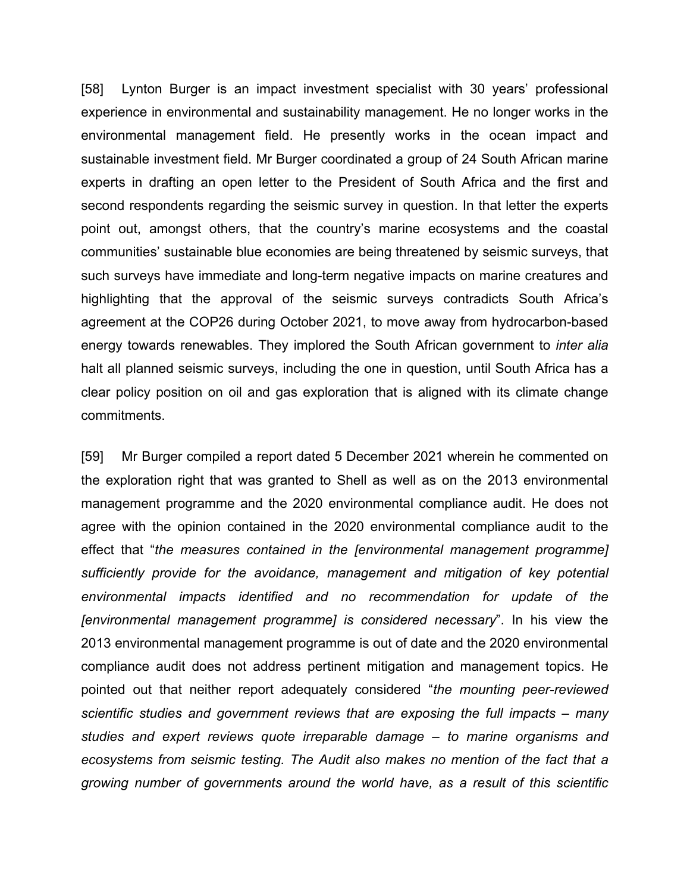[58] Lynton Burger is an impact investment specialist with 30 years' professional experience in environmental and sustainability management. He no longer works in the environmental management field. He presently works in the ocean impact and sustainable investment field. Mr Burger coordinated a group of 24 South African marine experts in drafting an open letter to the President of South Africa and the first and second respondents regarding the seismic survey in question. In that letter the experts point out, amongst others, that the country's marine ecosystems and the coastal communities' sustainable blue economies are being threatened by seismic surveys, that such surveys have immediate and long-term negative impacts on marine creatures and highlighting that the approval of the seismic surveys contradicts South Africa's agreement at the COP26 during October 2021, to move away from hydrocarbon-based energy towards renewables. They implored the South African government to *inter alia* halt all planned seismic surveys, including the one in question, until South Africa has a clear policy position on oil and gas exploration that is aligned with its climate change commitments.

[59] Mr Burger compiled a report dated 5 December 2021 wherein he commented on the exploration right that was granted to Shell as well as on the 2013 environmental management programme and the 2020 environmental compliance audit. He does not agree with the opinion contained in the 2020 environmental compliance audit to the effect that "*the measures contained in the [environmental management programme] sufficiently provide for the avoidance, management and mitigation of key potential environmental impacts identified and no recommendation for update of the [environmental management programme] is considered necessary*". In his view the 2013 environmental management programme is out of date and the 2020 environmental compliance audit does not address pertinent mitigation and management topics. He pointed out that neither report adequately considered "*the mounting peer-reviewed scientific studies and government reviews that are exposing the full impacts – many studies and expert reviews quote irreparable damage – to marine organisms and ecosystems from seismic testing. The Audit also makes no mention of the fact that a growing number of governments around the world have, as a result of this scientific*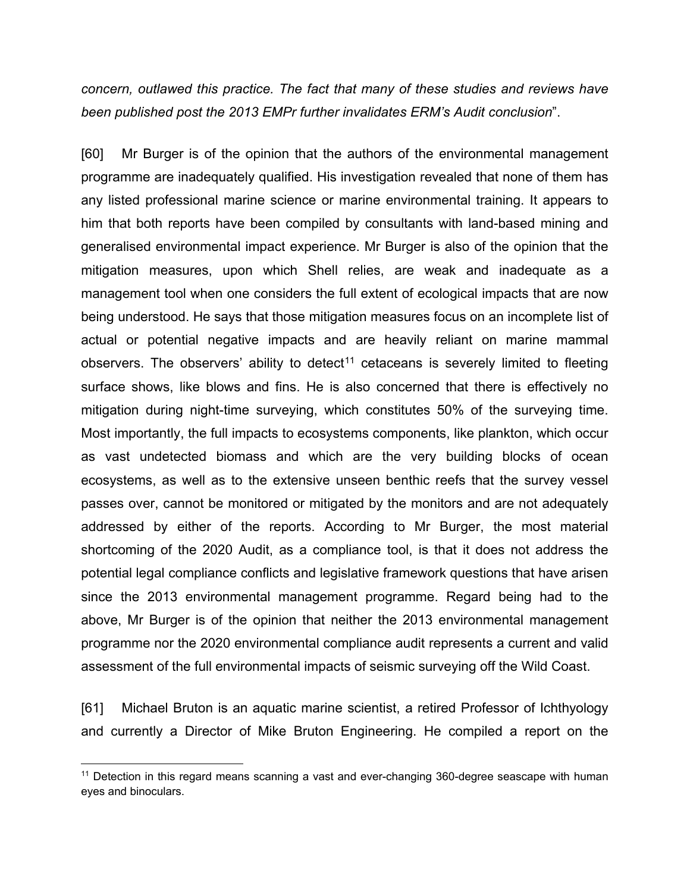*concern, outlawed this practice. The fact that many of these studies and reviews have been published post the 2013 EMPr further invalidates ERM's Audit conclusion*".

[60] Mr Burger is of the opinion that the authors of the environmental management programme are inadequately qualified. His investigation revealed that none of them has any listed professional marine science or marine environmental training. It appears to him that both reports have been compiled by consultants with land-based mining and generalised environmental impact experience. Mr Burger is also of the opinion that the mitigation measures, upon which Shell relies, are weak and inadequate as a management tool when one considers the full extent of ecological impacts that are now being understood. He says that those mitigation measures focus on an incomplete list of actual or potential negative impacts and are heavily reliant on marine mammal observers. The observers' ability to detect<sup>[11](#page-28-0)</sup> cetaceans is severely limited to fleeting surface shows, like blows and fins. He is also concerned that there is effectively no mitigation during night-time surveying, which constitutes 50% of the surveying time. Most importantly, the full impacts to ecosystems components, like plankton, which occur as vast undetected biomass and which are the very building blocks of ocean ecosystems, as well as to the extensive unseen benthic reefs that the survey vessel passes over, cannot be monitored or mitigated by the monitors and are not adequately addressed by either of the reports. According to Mr Burger, the most material shortcoming of the 2020 Audit, as a compliance tool, is that it does not address the potential legal compliance conflicts and legislative framework questions that have arisen since the 2013 environmental management programme. Regard being had to the above, Mr Burger is of the opinion that neither the 2013 environmental management programme nor the 2020 environmental compliance audit represents a current and valid assessment of the full environmental impacts of seismic surveying off the Wild Coast.

[61] Michael Bruton is an aquatic marine scientist, a retired Professor of Ichthyology and currently a Director of Mike Bruton Engineering. He compiled a report on the

<span id="page-28-0"></span> $11$  Detection in this regard means scanning a vast and ever-changing 360-degree seascape with human eyes and binoculars.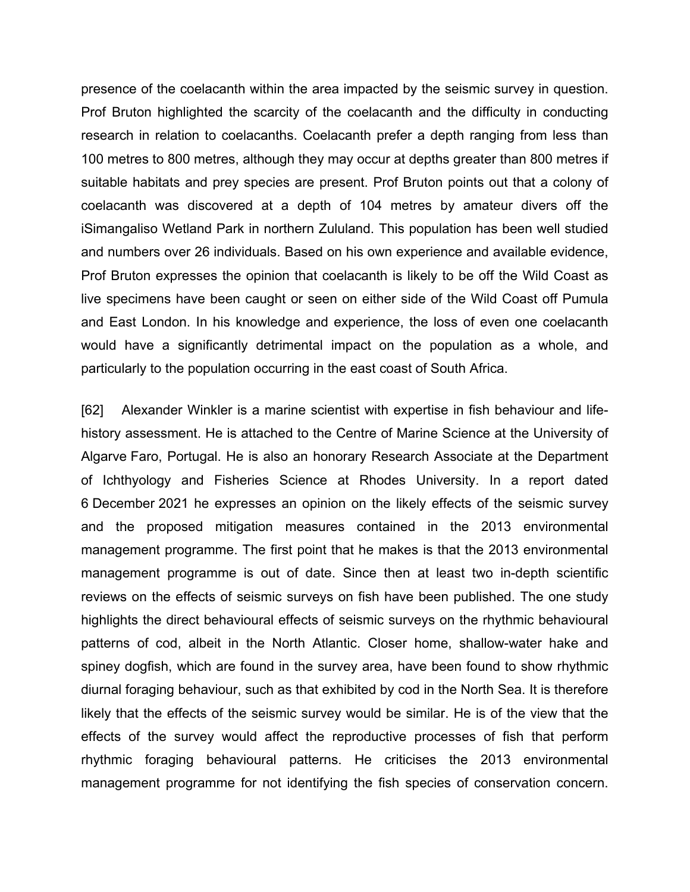presence of the coelacanth within the area impacted by the seismic survey in question. Prof Bruton highlighted the scarcity of the coelacanth and the difficulty in conducting research in relation to coelacanths. Coelacanth prefer a depth ranging from less than 100 metres to 800 metres, although they may occur at depths greater than 800 metres if suitable habitats and prey species are present. Prof Bruton points out that a colony of coelacanth was discovered at a depth of 104 metres by amateur divers off the iSimangaliso Wetland Park in northern Zululand. This population has been well studied and numbers over 26 individuals. Based on his own experience and available evidence, Prof Bruton expresses the opinion that coelacanth is likely to be off the Wild Coast as live specimens have been caught or seen on either side of the Wild Coast off Pumula and East London. In his knowledge and experience, the loss of even one coelacanth would have a significantly detrimental impact on the population as a whole, and particularly to the population occurring in the east coast of South Africa.

[62] Alexander Winkler is a marine scientist with expertise in fish behaviour and lifehistory assessment. He is attached to the Centre of Marine Science at the University of Algarve Faro, Portugal. He is also an honorary Research Associate at the Department of Ichthyology and Fisheries Science at Rhodes University. In a report dated 6 December 2021 he expresses an opinion on the likely effects of the seismic survey and the proposed mitigation measures contained in the 2013 environmental management programme. The first point that he makes is that the 2013 environmental management programme is out of date. Since then at least two in-depth scientific reviews on the effects of seismic surveys on fish have been published. The one study highlights the direct behavioural effects of seismic surveys on the rhythmic behavioural patterns of cod, albeit in the North Atlantic. Closer home, shallow-water hake and spiney dogfish, which are found in the survey area, have been found to show rhythmic diurnal foraging behaviour, such as that exhibited by cod in the North Sea. It is therefore likely that the effects of the seismic survey would be similar. He is of the view that the effects of the survey would affect the reproductive processes of fish that perform rhythmic foraging behavioural patterns. He criticises the 2013 environmental management programme for not identifying the fish species of conservation concern.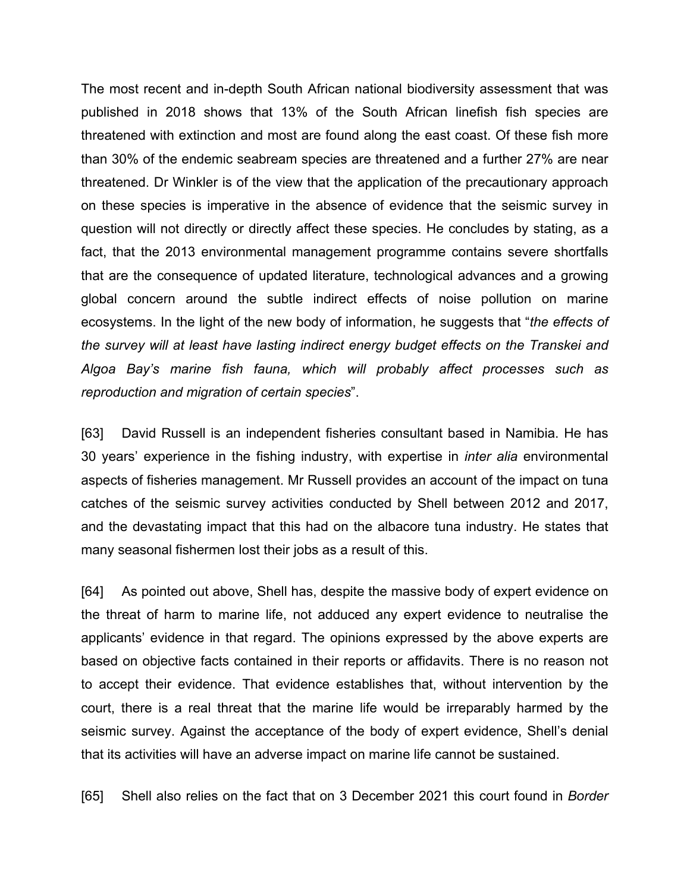The most recent and in-depth South African national biodiversity assessment that was published in 2018 shows that 13% of the South African linefish fish species are threatened with extinction and most are found along the east coast. Of these fish more than 30% of the endemic seabream species are threatened and a further 27% are near threatened. Dr Winkler is of the view that the application of the precautionary approach on these species is imperative in the absence of evidence that the seismic survey in question will not directly or directly affect these species. He concludes by stating, as a fact, that the 2013 environmental management programme contains severe shortfalls that are the consequence of updated literature, technological advances and a growing global concern around the subtle indirect effects of noise pollution on marine ecosystems. In the light of the new body of information, he suggests that "*the effects of the survey will at least have lasting indirect energy budget effects on the Transkei and Algoa Bay's marine fish fauna, which will probably affect processes such as reproduction and migration of certain species*".

[63] David Russell is an independent fisheries consultant based in Namibia. He has 30 years' experience in the fishing industry, with expertise in *inter alia* environmental aspects of fisheries management. Mr Russell provides an account of the impact on tuna catches of the seismic survey activities conducted by Shell between 2012 and 2017, and the devastating impact that this had on the albacore tuna industry. He states that many seasonal fishermen lost their jobs as a result of this.

[64] As pointed out above, Shell has, despite the massive body of expert evidence on the threat of harm to marine life, not adduced any expert evidence to neutralise the applicants' evidence in that regard. The opinions expressed by the above experts are based on objective facts contained in their reports or affidavits. There is no reason not to accept their evidence. That evidence establishes that, without intervention by the court, there is a real threat that the marine life would be irreparably harmed by the seismic survey. Against the acceptance of the body of expert evidence, Shell's denial that its activities will have an adverse impact on marine life cannot be sustained.

[65] Shell also relies on the fact that on 3 December 2021 this court found in *Border*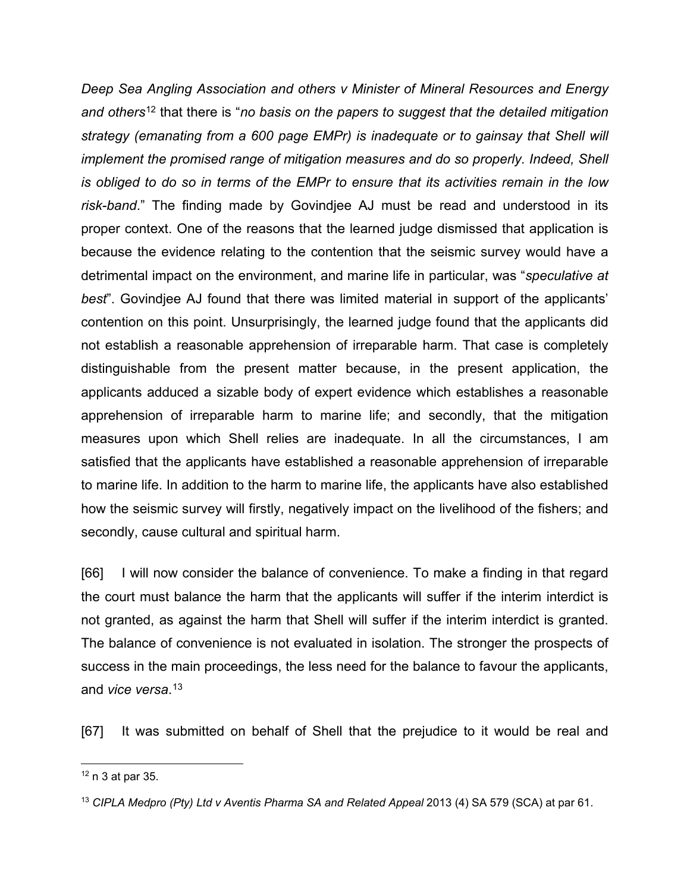*Deep Sea Angling Association and others v Minister of Mineral Resources and Energy and others*[12](#page-31-0) that there is "*no basis on the papers to suggest that the detailed mitigation strategy (emanating from a 600 page EMPr) is inadequate or to gainsay that Shell will implement the promised range of mitigation measures and do so properly. Indeed, Shell is obliged to do so in terms of the EMPr to ensure that its activities remain in the low risk-band*." The finding made by Govindjee AJ must be read and understood in its proper context. One of the reasons that the learned judge dismissed that application is because the evidence relating to the contention that the seismic survey would have a detrimental impact on the environment, and marine life in particular, was "*speculative at best*". Govindjee AJ found that there was limited material in support of the applicants' contention on this point. Unsurprisingly, the learned judge found that the applicants did not establish a reasonable apprehension of irreparable harm. That case is completely distinguishable from the present matter because, in the present application, the applicants adduced a sizable body of expert evidence which establishes a reasonable apprehension of irreparable harm to marine life; and secondly, that the mitigation measures upon which Shell relies are inadequate. In all the circumstances, I am satisfied that the applicants have established a reasonable apprehension of irreparable to marine life. In addition to the harm to marine life, the applicants have also established how the seismic survey will firstly, negatively impact on the livelihood of the fishers; and secondly, cause cultural and spiritual harm.

[66] I will now consider the balance of convenience. To make a finding in that regard the court must balance the harm that the applicants will suffer if the interim interdict is not granted, as against the harm that Shell will suffer if the interim interdict is granted. The balance of convenience is not evaluated in isolation. The stronger the prospects of success in the main proceedings, the less need for the balance to favour the applicants, and *vice versa*. [13](#page-31-1)

[67] It was submitted on behalf of Shell that the prejudice to it would be real and

<span id="page-31-0"></span> $12$  n 3 at par 35.

<span id="page-31-1"></span><sup>13</sup> *CIPLA Medpro (Pty) Ltd v Aventis Pharma SA and Related Appeal* 2013 (4) SA 579 (SCA) at par 61.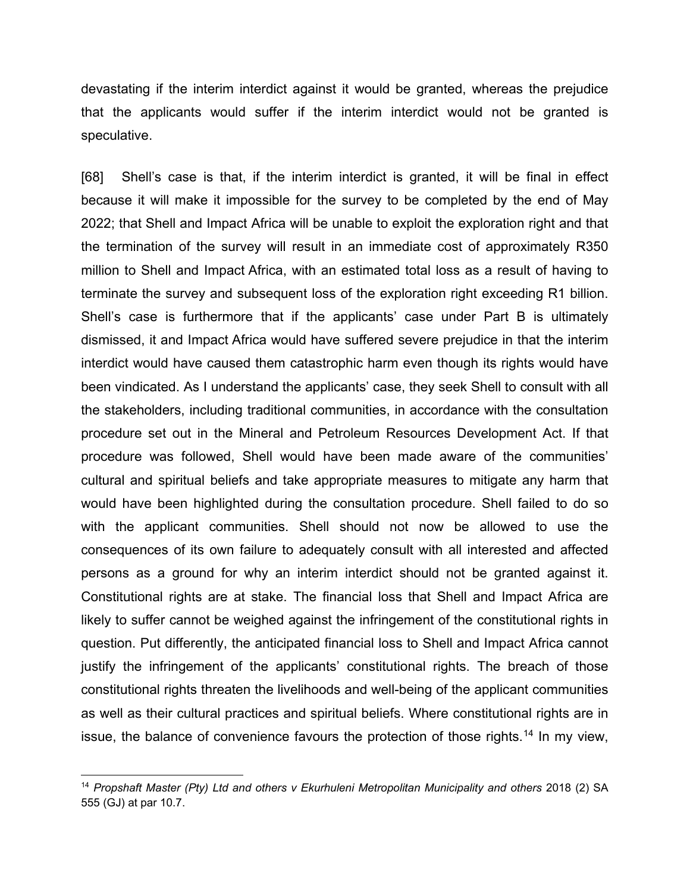devastating if the interim interdict against it would be granted, whereas the prejudice that the applicants would suffer if the interim interdict would not be granted is speculative.

[68] Shell's case is that, if the interim interdict is granted, it will be final in effect because it will make it impossible for the survey to be completed by the end of May 2022; that Shell and Impact Africa will be unable to exploit the exploration right and that the termination of the survey will result in an immediate cost of approximately R350 million to Shell and Impact Africa, with an estimated total loss as a result of having to terminate the survey and subsequent loss of the exploration right exceeding R1 billion. Shell's case is furthermore that if the applicants' case under Part B is ultimately dismissed, it and Impact Africa would have suffered severe prejudice in that the interim interdict would have caused them catastrophic harm even though its rights would have been vindicated. As I understand the applicants' case, they seek Shell to consult with all the stakeholders, including traditional communities, in accordance with the consultation procedure set out in the Mineral and Petroleum Resources Development Act. If that procedure was followed, Shell would have been made aware of the communities' cultural and spiritual beliefs and take appropriate measures to mitigate any harm that would have been highlighted during the consultation procedure. Shell failed to do so with the applicant communities. Shell should not now be allowed to use the consequences of its own failure to adequately consult with all interested and affected persons as a ground for why an interim interdict should not be granted against it. Constitutional rights are at stake. The financial loss that Shell and Impact Africa are likely to suffer cannot be weighed against the infringement of the constitutional rights in question. Put differently, the anticipated financial loss to Shell and Impact Africa cannot justify the infringement of the applicants' constitutional rights. The breach of those constitutional rights threaten the livelihoods and well-being of the applicant communities as well as their cultural practices and spiritual beliefs. Where constitutional rights are in issue, the balance of convenience favours the protection of those rights.<sup>[14](#page-32-0)</sup> In my view,

<span id="page-32-0"></span><sup>&</sup>lt;sup>14</sup> Propshaft Master (Pty) Ltd and others v Ekurhuleni Metropolitan Municipality and others 2018 (2) SA 555 (GJ) at par 10.7.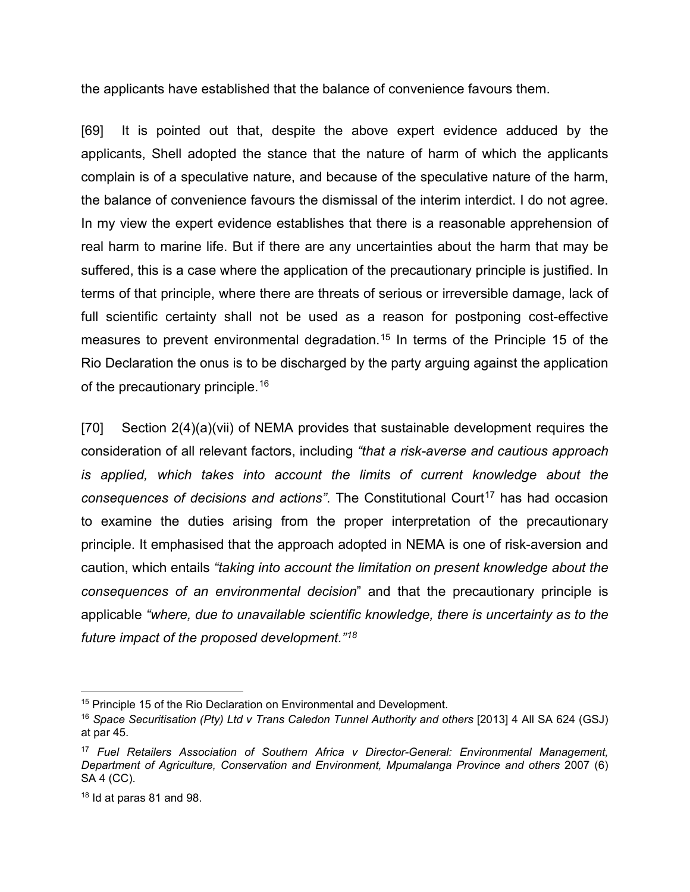the applicants have established that the balance of convenience favours them.

[69] It is pointed out that, despite the above expert evidence adduced by the applicants, Shell adopted the stance that the nature of harm of which the applicants complain is of a speculative nature, and because of the speculative nature of the harm, the balance of convenience favours the dismissal of the interim interdict. I do not agree. In my view the expert evidence establishes that there is a reasonable apprehension of real harm to marine life. But if there are any uncertainties about the harm that may be suffered, this is a case where the application of the precautionary principle is justified. In terms of that principle, where there are threats of serious or irreversible damage, lack of full scientific certainty shall not be used as a reason for postponing cost-effective measures to prevent environmental degradation.<sup>[15](#page-33-0)</sup> In terms of the Principle 15 of the Rio Declaration the onus is to be discharged by the party arguing against the application of the precautionary principle.<sup>[16](#page-33-1)</sup>

[70] Section 2(4)(a)(vii) of NEMA provides that sustainable development requires the consideration of all relevant factors, including *"that a risk-averse and cautious approach is applied, which takes into account the limits of current knowledge about the consequences of decisions and actions*". The Constitutional Court<sup>[17](#page-33-2)</sup> has had occasion to examine the duties arising from the proper interpretation of the precautionary principle. It emphasised that the approach adopted in NEMA is one of risk-aversion and caution, which entails *"taking into account the limitation on present knowledge about the consequences of an environmental decision*" and that the precautionary principle is applicable *"where, due to unavailable scientific knowledge, there is uncertainty as to the future impact of the proposed development."[18](#page-33-3)*

<span id="page-33-0"></span><sup>&</sup>lt;sup>15</sup> Principle 15 of the Rio Declaration on Environmental and Development.

<span id="page-33-1"></span><sup>&</sup>lt;sup>16</sup> Space Securitisation (Pty) Ltd v Trans Caledon Tunnel Authority and others [2013] 4 All SA 624 (GSJ) at par 45.

<span id="page-33-2"></span><sup>17</sup> *Fuel Retailers Association of Southern Africa v Director-General: Environmental Management, Department of Agriculture, Conservation and Environment, Mpumalanga Province and others* 2007 (6) SA 4 (CC).

<span id="page-33-3"></span> $18$  Id at paras 81 and 98.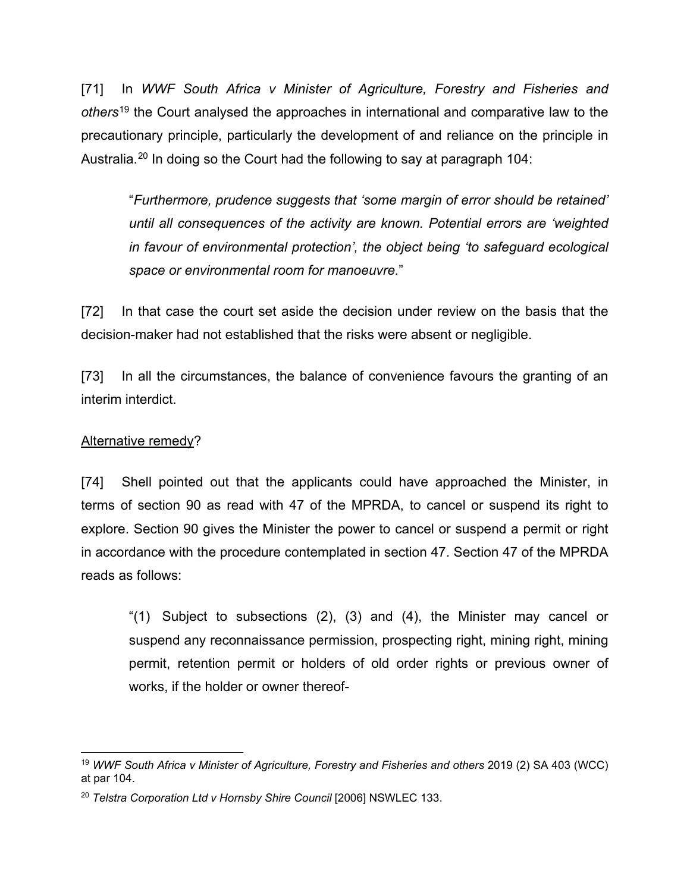[71] In *WWF South Africa v Minister of Agriculture, Forestry and Fisheries and others*[19](#page-34-0) the Court analysed the approaches in international and comparative law to the precautionary principle, particularly the development of and reliance on the principle in Australia.<sup>[20](#page-34-1)</sup> In doing so the Court had the following to say at paragraph 104:

"*Furthermore, prudence suggests that 'some margin of error should be retained' until all consequences of the activity are known. Potential errors are 'weighted in favour of environmental protection', the object being 'to safeguard ecological space or environmental room for manoeuvre.*"

[72] In that case the court set aside the decision under review on the basis that the decision-maker had not established that the risks were absent or negligible.

[73] In all the circumstances, the balance of convenience favours the granting of an interim interdict.

# Alternative remedy?

[74] Shell pointed out that the applicants could have approached the Minister, in terms of section 90 as read with 47 of the MPRDA, to cancel or suspend its right to explore. Section 90 gives the Minister the power to cancel or suspend a permit or right in accordance with the procedure contemplated in section 47. Section 47 of the MPRDA reads as follows:

"(1) Subject to subsections (2), (3) and (4), the Minister may cancel or suspend any reconnaissance permission, prospecting right, mining right, mining permit, retention permit or holders of old order rights or previous owner of works, if the holder or owner thereof-

<span id="page-34-0"></span> <sup>19</sup> *WWF South Africa v Minister of Agriculture, Forestry and Fisheries and others* 2019 (2) SA 403 (WCC) at par 104.

<span id="page-34-1"></span><sup>&</sup>lt;sup>20</sup> Telstra Corporation Ltd v Hornsby Shire Council [2006] NSWLEC 133.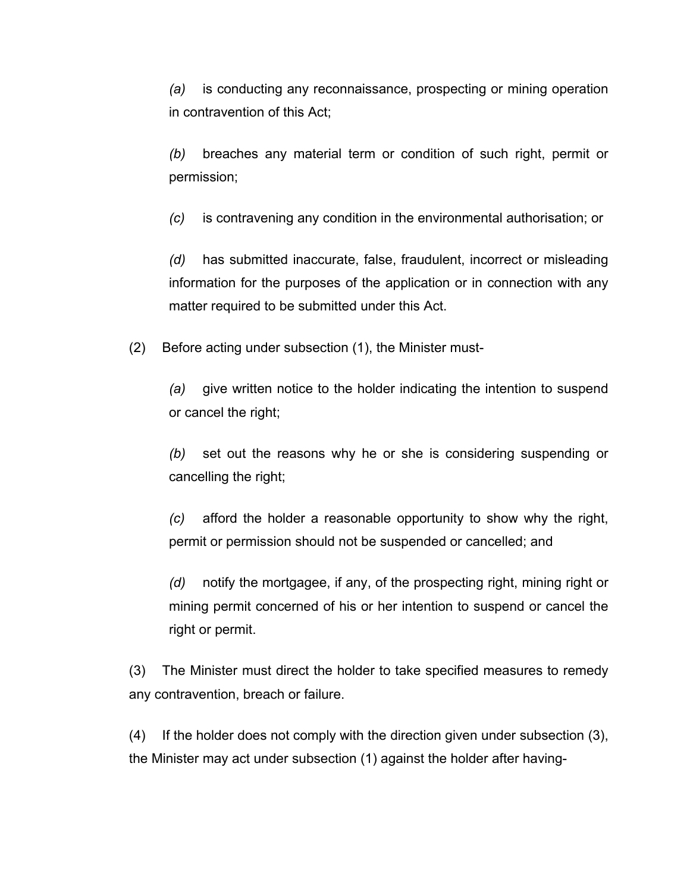*(a)* is conducting any reconnaissance, prospecting or mining operation in contravention of this Act;

*(b)* breaches any material term or condition of such right, permit or permission;

*(c)* is contravening any condition in the environmental authorisation; or

*(d)* has submitted inaccurate, false, fraudulent, incorrect or misleading information for the purposes of the application or in connection with any matter required to be submitted under this Act.

(2) Before acting under subsection (1), the Minister must-

*(a)* give written notice to the holder indicating the intention to suspend or cancel the right;

*(b)* set out the reasons why he or she is considering suspending or cancelling the right;

*(c)* afford the holder a reasonable opportunity to show why the right, permit or permission should not be suspended or cancelled; and

*(d)* notify the mortgagee, if any, of the prospecting right, mining right or mining permit concerned of his or her intention to suspend or cancel the right or permit.

(3) The Minister must direct the holder to take specified measures to remedy any contravention, breach or failure.

(4) If the holder does not comply with the direction given under subsection (3), the Minister may act under subsection (1) against the holder after having-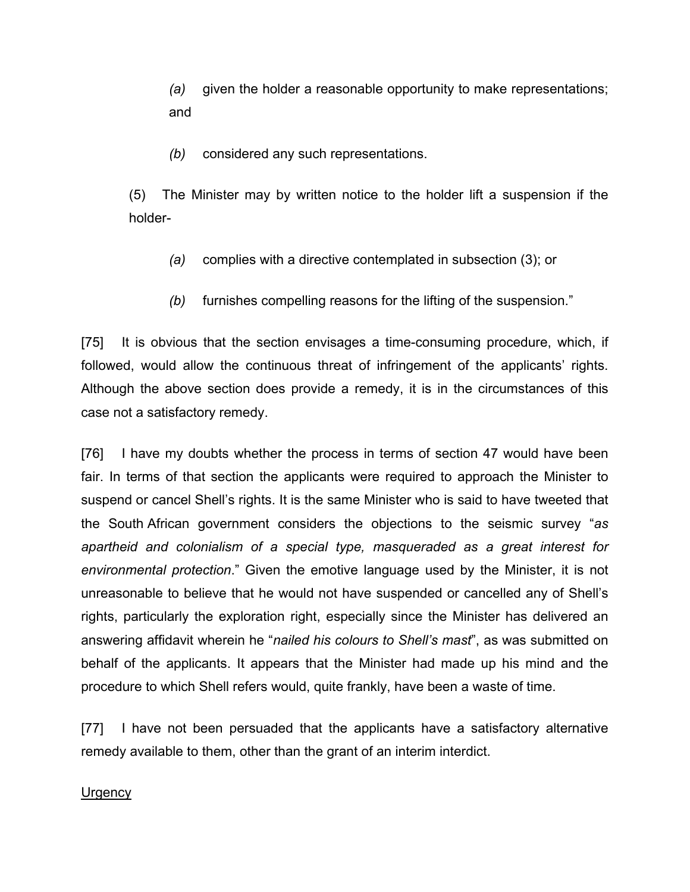*(a)* given the holder a reasonable opportunity to make representations; and

*(b)* considered any such representations.

(5) The Minister may by written notice to the holder lift a suspension if the holder-

- *(a)* complies with a directive contemplated in subsection (3); or
- *(b)* furnishes compelling reasons for the lifting of the suspension."

[75] It is obvious that the section envisages a time-consuming procedure, which, if followed, would allow the continuous threat of infringement of the applicants' rights. Although the above section does provide a remedy, it is in the circumstances of this case not a satisfactory remedy.

[76] I have my doubts whether the process in terms of section 47 would have been fair. In terms of that section the applicants were required to approach the Minister to suspend or cancel Shell's rights. It is the same Minister who is said to have tweeted that the South African government considers the objections to the seismic survey "*as apartheid and colonialism of a special type, masqueraded as a great interest for environmental protection*." Given the emotive language used by the Minister, it is not unreasonable to believe that he would not have suspended or cancelled any of Shell's rights, particularly the exploration right, especially since the Minister has delivered an answering affidavit wherein he "*nailed his colours to Shell's mast*", as was submitted on behalf of the applicants. It appears that the Minister had made up his mind and the procedure to which Shell refers would, quite frankly, have been a waste of time.

[77] I have not been persuaded that the applicants have a satisfactory alternative remedy available to them, other than the grant of an interim interdict.

#### **Urgency**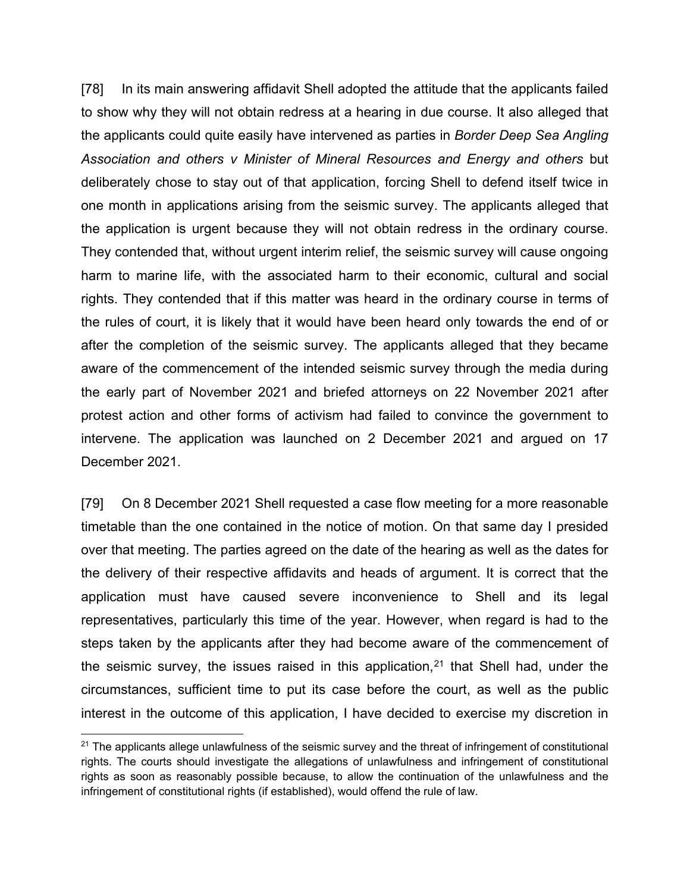[78] In its main answering affidavit Shell adopted the attitude that the applicants failed to show why they will not obtain redress at a hearing in due course. It also alleged that the applicants could quite easily have intervened as parties in *Border Deep Sea Angling Association and others v Minister of Mineral Resources and Energy and others* but deliberately chose to stay out of that application, forcing Shell to defend itself twice in one month in applications arising from the seismic survey. The applicants alleged that the application is urgent because they will not obtain redress in the ordinary course. They contended that, without urgent interim relief, the seismic survey will cause ongoing harm to marine life, with the associated harm to their economic, cultural and social rights. They contended that if this matter was heard in the ordinary course in terms of the rules of court, it is likely that it would have been heard only towards the end of or after the completion of the seismic survey. The applicants alleged that they became aware of the commencement of the intended seismic survey through the media during the early part of November 2021 and briefed attorneys on 22 November 2021 after protest action and other forms of activism had failed to convince the government to intervene. The application was launched on 2 December 2021 and argued on 17 December 2021.

[79] On 8 December 2021 Shell requested a case flow meeting for a more reasonable timetable than the one contained in the notice of motion. On that same day I presided over that meeting. The parties agreed on the date of the hearing as well as the dates for the delivery of their respective affidavits and heads of argument. It is correct that the application must have caused severe inconvenience to Shell and its legal representatives, particularly this time of the year. However, when regard is had to the steps taken by the applicants after they had become aware of the commencement of the seismic survey, the issues raised in this application, [21](#page-37-0) that Shell had, under the circumstances, sufficient time to put its case before the court, as well as the public interest in the outcome of this application, I have decided to exercise my discretion in

<span id="page-37-0"></span> $21$  The applicants allege unlawfulness of the seismic survey and the threat of infringement of constitutional rights. The courts should investigate the allegations of unlawfulness and infringement of constitutional rights as soon as reasonably possible because, to allow the continuation of the unlawfulness and the infringement of constitutional rights (if established), would offend the rule of law.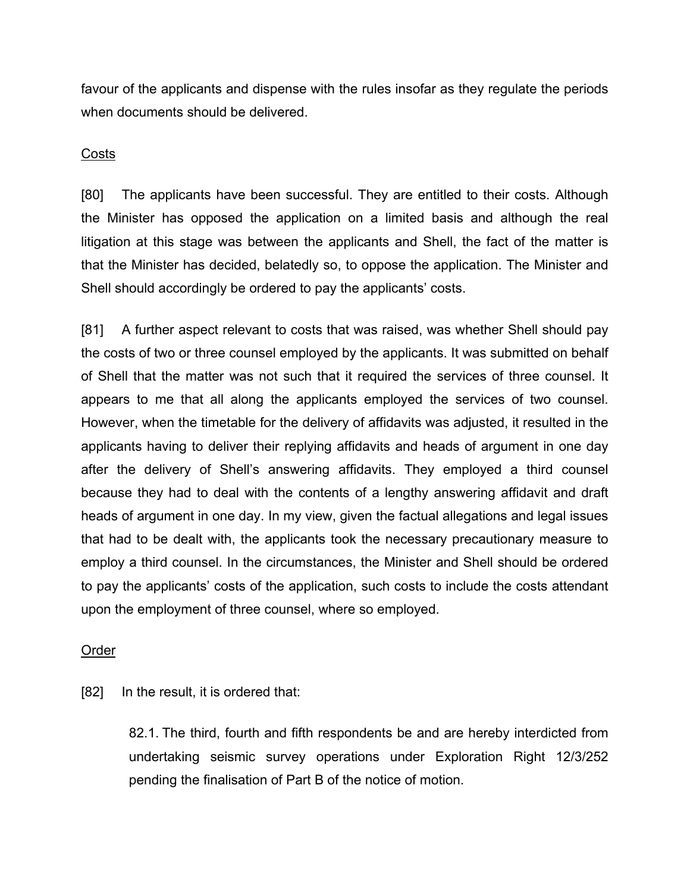favour of the applicants and dispense with the rules insofar as they regulate the periods when documents should be delivered.

### **Costs**

[80] The applicants have been successful. They are entitled to their costs. Although the Minister has opposed the application on a limited basis and although the real litigation at this stage was between the applicants and Shell, the fact of the matter is that the Minister has decided, belatedly so, to oppose the application. The Minister and Shell should accordingly be ordered to pay the applicants' costs.

[81] A further aspect relevant to costs that was raised, was whether Shell should pay the costs of two or three counsel employed by the applicants. It was submitted on behalf of Shell that the matter was not such that it required the services of three counsel. It appears to me that all along the applicants employed the services of two counsel. However, when the timetable for the delivery of affidavits was adjusted, it resulted in the applicants having to deliver their replying affidavits and heads of argument in one day after the delivery of Shell's answering affidavits. They employed a third counsel because they had to deal with the contents of a lengthy answering affidavit and draft heads of argument in one day. In my view, given the factual allegations and legal issues that had to be dealt with, the applicants took the necessary precautionary measure to employ a third counsel. In the circumstances, the Minister and Shell should be ordered to pay the applicants' costs of the application, such costs to include the costs attendant upon the employment of three counsel, where so employed.

#### Order

[82] In the result, it is ordered that:

82.1. The third, fourth and fifth respondents be and are hereby interdicted from undertaking seismic survey operations under Exploration Right 12/3/252 pending the finalisation of Part B of the notice of motion.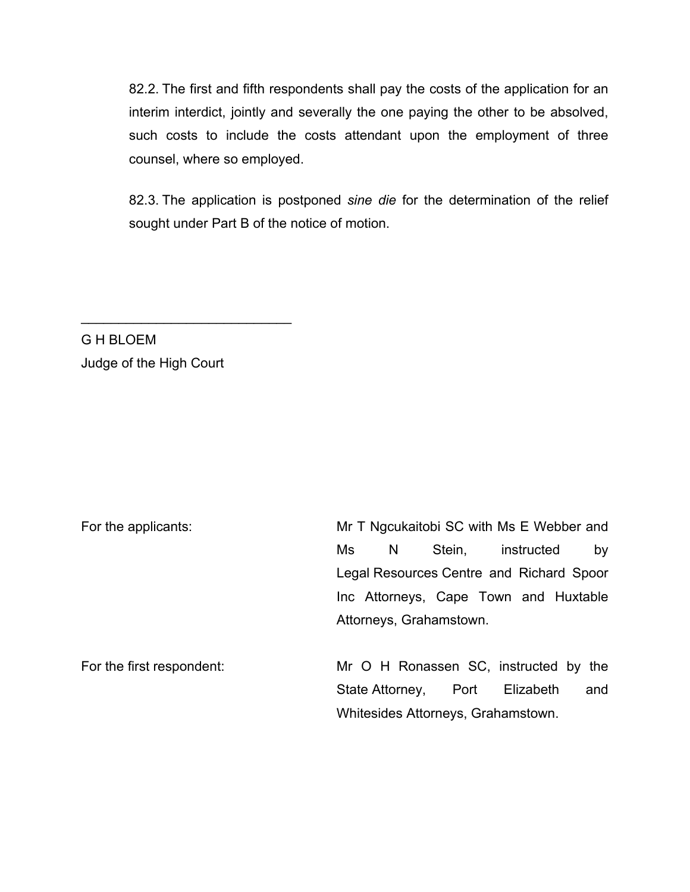82.2. The first and fifth respondents shall pay the costs of the application for an interim interdict, jointly and severally the one paying the other to be absolved, such costs to include the costs attendant upon the employment of three counsel, where so employed.

82.3. The application is postponed *sine die* for the determination of the relief sought under Part B of the notice of motion.

G H BLOEM Judge of the High Court

\_\_\_\_\_\_\_\_\_\_\_\_\_\_\_\_\_\_\_\_\_\_\_\_\_\_\_\_

| For the applicants:       | Mr T Ngcukaitobi SC with Ms E Webber and                                          |  |   |                      |  |                                       |  |     |
|---------------------------|-----------------------------------------------------------------------------------|--|---|----------------------|--|---------------------------------------|--|-----|
|                           | Ms                                                                                |  | N | Stein,               |  | instructed                            |  | by  |
|                           | Legal Resources Centre and Richard Spoor<br>Inc Attorneys, Cape Town and Huxtable |  |   |                      |  |                                       |  |     |
|                           |                                                                                   |  |   |                      |  |                                       |  |     |
|                           | Attorneys, Grahamstown.                                                           |  |   |                      |  |                                       |  |     |
| For the first respondent: |                                                                                   |  |   |                      |  | Mr O H Ronassen SC, instructed by the |  |     |
|                           |                                                                                   |  |   | State Attorney, Port |  | Elizabeth                             |  | and |
|                           | Whitesides Attorneys, Grahamstown.                                                |  |   |                      |  |                                       |  |     |